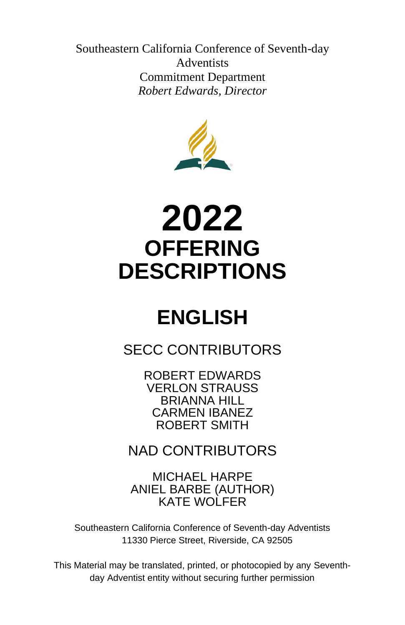Southeastern California Conference of Seventh-day Adventists Commitment Department *Robert Edwards, Director*



# **2022 OFFERING DESCRIPTIONS**

# **ENGLISH**

SECC CONTRIBUTORS

ROBERT EDWARDS VERLON STRAUSS BRIANNA HILL CARMEN IBANEZ ROBERT SMITH

NAD CONTRIBUTORS

MICHAEL HARPE ANIEL BARBE (AUTHOR) KATE WOLFER

Southeastern California Conference of Seventh-day Adventists 11330 Pierce Street, Riverside, CA 92505

This Material may be translated, printed, or photocopied by any Seventhday Adventist entity without securing further permission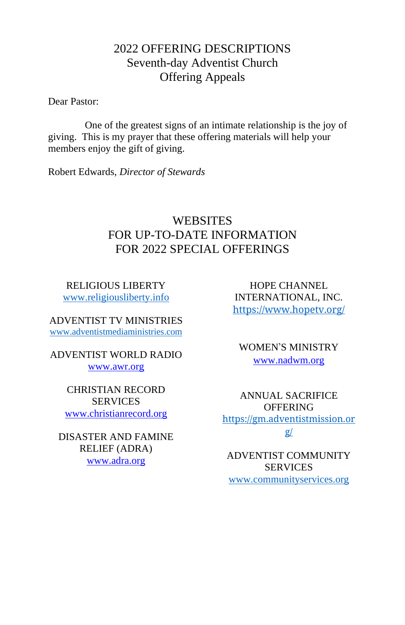## 2022 OFFERING DESCRIPTIONS Seventh-day Adventist Church Offering Appeals

Dear Pastor:

One of the greatest signs of an intimate relationship is the joy of giving. This is my prayer that these offering materials will help your members enjoy the gift of giving.

Robert Edwards, *Director of Stewards* 

## **WEBSITES** FOR UP-TO-DATE INFORMATION FOR 2022 SPECIAL OFFERINGS

RELIGIOUS LIBERTY [www.religiousliberty.info](http://www.religiousliberty.info/)

ADVENTIST TV MINISTRIES [www.adventistmediaministries.com](http://www.adventistmediaministries.com/)

ADVENTIST WORLD RADIO [www.awr.org](http://www.awr.org/)

> CHRISTIAN RECORD SERVICES [www.christianrecord.org](http://www.christianrecord.org/)

DISASTER AND FAMINE RELIEF (ADRA) [www.adra.org](http://www.adra.org/)

HOPE CHANNEL INTERNATIONAL, INC. <https://www.hopetv.org/>

WOMEN'S MINISTRY [www.nadwm.org](http://www.nadwm.org/)

ANNUAL SACRIFICE **OFFERING** [https://gm.adventistmission.or](https://gm.adventistmission.org/) [g/](https://gm.adventistmission.org/)

ADVENTIST COMMUNITY SERVICES [www.communityservices.org](http://www.communityservices.org/)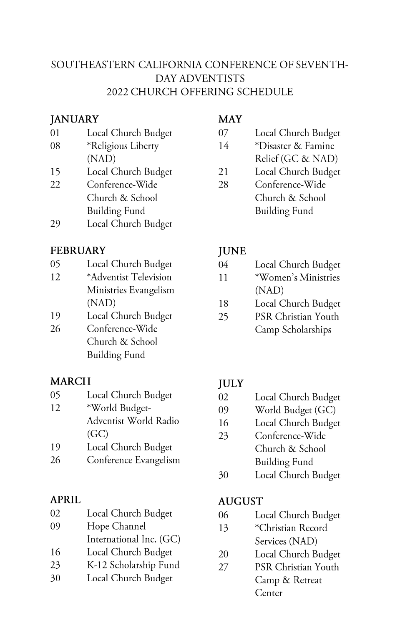## SOUTHEASTERN CALIFORNIA CONFERENCE OF SEVENTH-DAY ADVENTISTS **2022 CHURCH OFFERING SCHEDULE**

#### **JANUARY**

- 01 Local Church Budget 08 \*Religious Liberty
- $(NAD)$
- 15 Local Church Budget
- 22 Conference-Wide Church & School **Building Fund**
- 29 Local Church Budget

## **FEBRUARY**

- 05 Local Church Budget
- 12 \*Adventist Television Ministries Evangelism  $(NAD)$
- Local Church Budget 19 26 Conference-Wide
- Church & School **Building Fund**

## **MARCH**

- 05 Local Church Budget
- 12 \*World Budget-Adventist World Radio  $(GC)$
- 19 Local Church Budget
- 26 Conference Evangelism

## APRIL

| 02 | Local Church Budget     |
|----|-------------------------|
| 09 | Hope Channel            |
|    | International Inc. (GC) |
| 16 | Local Church Budget     |
| 23 | K-12 Scholarship Fund   |

30 Local Church Budget

## **MAY**

- 07 Local Church Budget
- $14$ \*Disaster & Famine Relief (GC & NAD)
- 21 Local Church Budget
- 28 Conference-Wide Church & School **Building Fund**

## **JUNE**

- 04 Local Church Budget \*Women's Ministries  $11$  $(NAD)$
- Local Church Budget 18
- 25 PSR Christian Youth Camp Scholarships

## **JULY**

- 02 Local Church Budget
- 09 World Budget (GC)
- 16 Local Church Budget
- 23 Conference-Wide Church & School **Building Fund**
- 30 Local Church Budget

## **AUGUST**

- 06 Local Church Budget
- 13 \*Christian Record Services (NAD)
- 20 Local Church Budget
- 27 PSR Christian Youth Camp & Retreat Center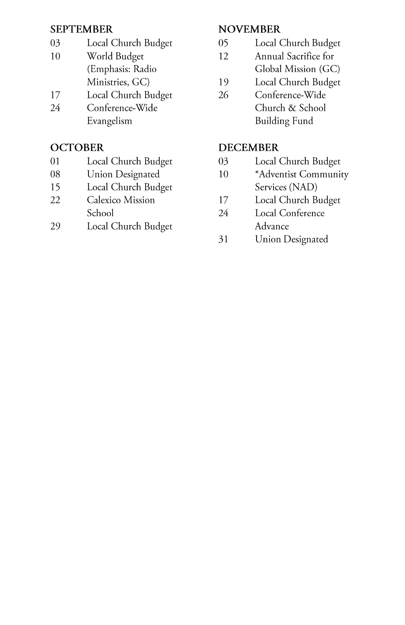#### **SEPTEMBER**

- Local Church Budget 03
- World Budget 10 (Emphasis: Radio Ministries, GC)
- 17 Local Church Budget
- 24 Conference-Wide Evangelism

## **OCTOBER**

- Local Church Budget 01
- 08 **Union Designated**
- 15 Local Church Budget
- 22 Calexico Mission School
- Local Church Budget 29

## **NOVEMBER**

- $05<sub>0</sub>$ Local Church Budget
- 12 Annual Sacrifice for Global Mission (GC)
- 19 Local Church Budget
- 26 Conference-Wide Church & School **Building Fund**

## **DECEMBER**

- Local Church Budget 03
- \*Adventist Community 10 Services (NAD)
- 17 Local Church Budget
- 24 Local Conference Advance
- 31 **Union Designated**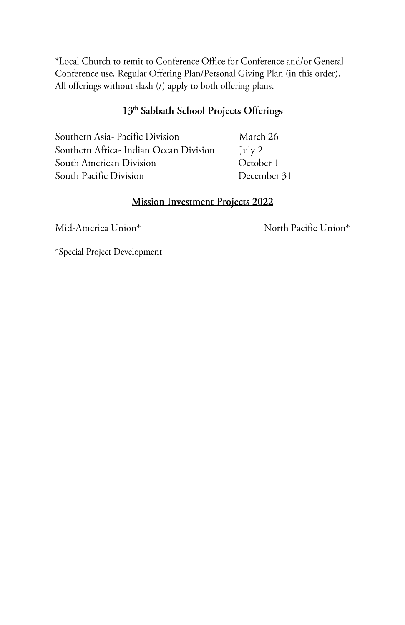\*Local Church to remit to Conference Office for Conference and/or General Conference use. Regular Offering Plan/Personal Giving Plan (in this order). All offerings without slash (/) apply to both offering plans.

#### 13th Sabbath School Projects Offerings

Southern Asia- Pacific Division Southern Africa- Indian Ocean Division South American Division South Pacific Division

March 26 July 2 October 1 December 31

#### **Mission Investment Projects 2022**

Mid-America Union\*

North Pacific Union\*

\*Special Project Development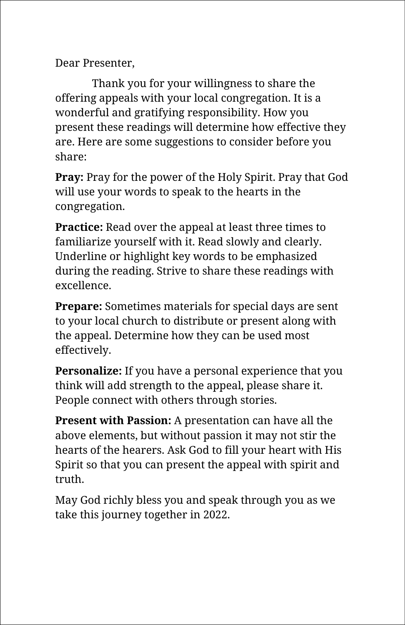Dear Presenter,

Thank you for your willingness to share the offering appeals with your local congregation. It is a wonderful and gratifying responsibility. How you present these readings will determine how effective they are. Here are some suggestions to consider before you share:

**Pray:** Pray for the power of the Holy Spirit. Pray that God will use your words to speak to the hearts in the congregation.

**Practice:** Read over the appeal at least three times to familiarize yourself with it. Read slowly and clearly. Underline or highlight key words to be emphasized during the reading. Strive to share these readings with excellence.

**Prepare:** Sometimes materials for special days are sent to your local church to distribute or present along with the appeal. Determine how they can be used most effectively.

**Personalize:** If you have a personal experience that you think will add strength to the appeal, please share it. People connect with others through stories.

**Present with Passion:** A presentation can have all the above elements, but without passion it may not stir the hearts of the hearers. Ask God to fill your heart with His Spirit so that you can present the appeal with spirit and truth.

May God richly bless you and speak through you as we take this journey together in 2022.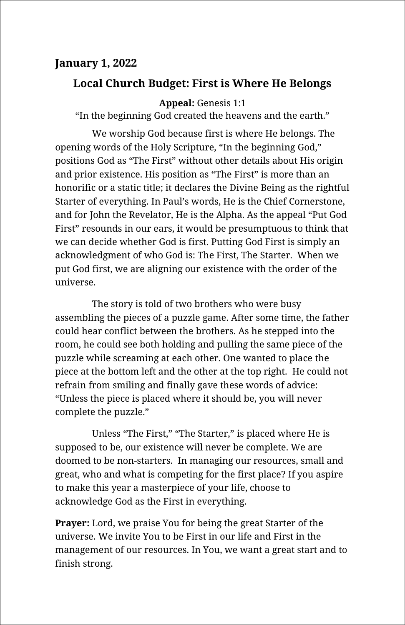## **January 1, 2022**

## **Local Church Budget: First is Where He Belongs**

**Appeal:** Genesis 1:1

"In the beginning God created the heavens and the earth."

We worship God because first is where He belongs. The opening words of the Holy Scripture, "In the beginning God," positions God as "The First" without other details about His origin and prior existence. His position as "The First" is more than an honorific or a static title; it declares the Divine Being as the rightful Starter of everything. In Paul's words, He is the Chief Cornerstone, and for John the Revelator, He is the Alpha. As the appeal "Put God First" resounds in our ears, it would be presumptuous to think that we can decide whether God is first. Putting God First is simply an acknowledgment of who God is: The First, The Starter. When we put God first, we are aligning our existence with the order of the universe.

The story is told of two brothers who were busy assembling the pieces of a puzzle game. After some time, the father could hear conflict between the brothers. As he stepped into the room, he could see both holding and pulling the same piece of the puzzle while screaming at each other. One wanted to place the piece at the bottom left and the other at the top right. He could not refrain from smiling and finally gave these words of advice: "Unless the piece is placed where it should be, you will never complete the puzzle."

Unless "The First," "The Starter," is placed where He is supposed to be, our existence will never be complete. We are doomed to be non-starters. In managing our resources, small and great, who and what is competing for the first place? If you aspire to make this year a masterpiece of your life, choose to acknowledge God as the First in everything.

**Prayer:** Lord, we praise You for being the great Starter of the universe. We invite You to be First in our life and First in the management of our resources. In You, we want a great start and to finish strong.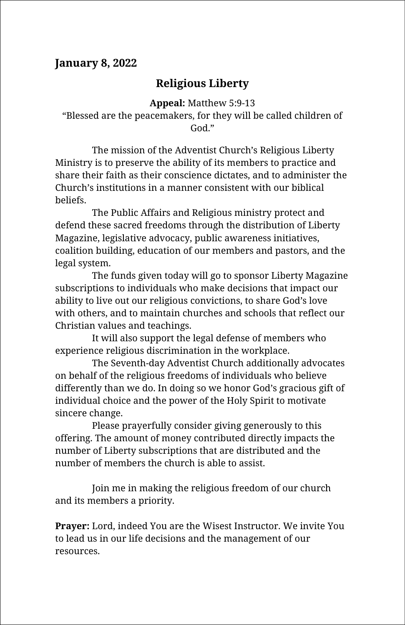## **January 8, 2022**

## **Religious Liberty**

**Appeal:** Matthew 5:9-13 "Blessed are the peacemakers, for they will be called children of God."

The mission of the Adventist Church's Religious Liberty Ministry is to preserve the ability of its members to practice and share their faith as their conscience dictates, and to administer the Church's institutions in a manner consistent with our biblical beliefs.

The Public Affairs and Religious ministry protect and defend these sacred freedoms through the distribution of Liberty Magazine, legislative advocacy, public awareness initiatives, coalition building, education of our members and pastors, and the legal system.

The funds given today will go to sponsor Liberty Magazine subscriptions to individuals who make decisions that impact our ability to live out our religious convictions, to share God's love with others, and to maintain churches and schools that reflect our Christian values and teachings.

It will also support the legal defense of members who experience religious discrimination in the workplace.

The Seventh-day Adventist Church additionally advocates on behalf of the religious freedoms of individuals who believe differently than we do. In doing so we honor God's gracious gift of individual choice and the power of the Holy Spirit to motivate sincere change.

Please prayerfully consider giving generously to this offering. The amount of money contributed directly impacts the number of Liberty subscriptions that are distributed and the number of members the church is able to assist.

Join me in making the religious freedom of our church and its members a priority.

**Prayer:** Lord, indeed You are the Wisest Instructor. We invite You to lead us in our life decisions and the management of our resources.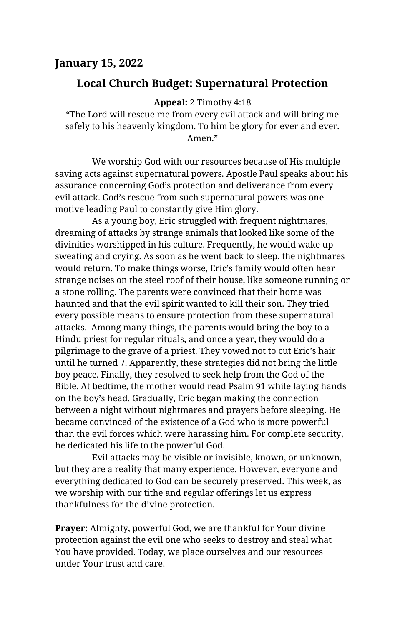#### **January 15, 2022**

#### **Local Church Budget: Supernatural Protection**

**Appeal:** 2 Timothy 4:18

"The Lord will rescue me from every evil attack and will bring me safely to his heavenly kingdom. To him be glory for ever and ever. Amen."

We worship God with our resources because of His multiple saving acts against supernatural powers. Apostle Paul speaks about his assurance concerning God's protection and deliverance from every evil attack. God's rescue from such supernatural powers was one motive leading Paul to constantly give Him glory.

As a young boy, Eric struggled with frequent nightmares, dreaming of attacks by strange animals that looked like some of the divinities worshipped in his culture. Frequently, he would wake up sweating and crying. As soon as he went back to sleep, the nightmares would return. To make things worse, Eric's family would often hear strange noises on the steel roof of their house, like someone running or a stone rolling. The parents were convinced that their home was haunted and that the evil spirit wanted to kill their son. They tried every possible means to ensure protection from these supernatural attacks. Among many things, the parents would bring the boy to a Hindu priest for regular rituals, and once a year, they would do a pilgrimage to the grave of a priest. They vowed not to cut Eric's hair until he turned 7. Apparently, these strategies did not bring the little boy peace. Finally, they resolved to seek help from the God of the Bible. At bedtime, the mother would read Psalm 91 while laying hands on the boy's head. Gradually, Eric began making the connection between a night without nightmares and prayers before sleeping. He became convinced of the existence of a God who is more powerful than the evil forces which were harassing him. For complete security, he dedicated his life to the powerful God.

Evil attacks may be visible or invisible, known, or unknown, but they are a reality that many experience. However, everyone and everything dedicated to God can be securely preserved. This week, as we worship with our tithe and regular offerings let us express thankfulness for the divine protection.

**Prayer:** Almighty, powerful God, we are thankful for Your divine protection against the evil one who seeks to destroy and steal what You have provided. Today, we place ourselves and our resources under Your trust and care.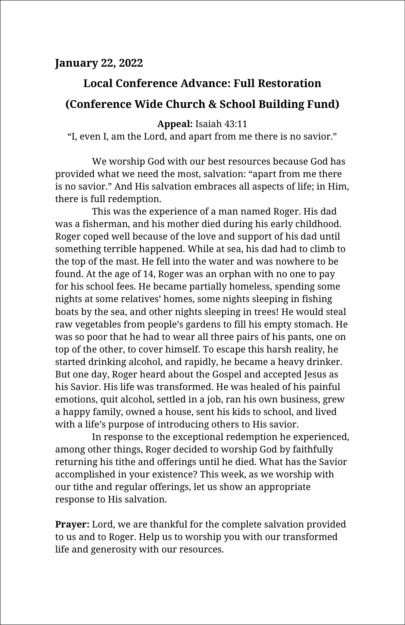## **Local Conference Advance: Full Restoration (Conference Wide Church & School Building Fund)**

#### **Appeal:** Isaiah 43:11

"I, even I, am the Lord, and apart from me there is no savior."

We worship God with our best resources because God has provided what we need the most, salvation: "apart from me there is no savior." And His salvation embraces all aspects of life; in Him, there is full redemption.

This was the experience of a man named Roger. His dad was a fisherman, and his mother died during his early childhood. Roger coped well because of the love and support of his dad until something terrible happened. While at sea, his dad had to climb to the top of the mast. He fell into the water and was nowhere to be found. At the age of 14, Roger was an orphan with no one to pay for his school fees. He became partially homeless, spending some nights at some relatives' homes, some nights sleeping in fishing boats by the sea, and other nights sleeping in trees! He would steal raw vegetables from people's gardens to fill his empty stomach. He was so poor that he had to wear all three pairs of his pants, one on top of the other, to cover himself. To escape this harsh reality, he started drinking alcohol, and rapidly, he became a heavy drinker. But one day, Roger heard about the Gospel and accepted Jesus as his Savior. His life was transformed. He was healed of his painful emotions, quit alcohol, settled in a job, ran his own business, grew a happy family, owned a house, sent his kids to school, and lived with a life's purpose of introducing others to His savior.

In response to the exceptional redemption he experienced, among other things, Roger decided to worship God by faithfully returning his tithe and offerings until he died. What has the Savior accomplished in your existence? This week, as we worship with our tithe and regular offerings, let us show an appropriate response to His salvation.

**Prayer:** Lord, we are thankful for the complete salvation provided to us and to Roger. Help us to worship you with our transformed life and generosity with our resources.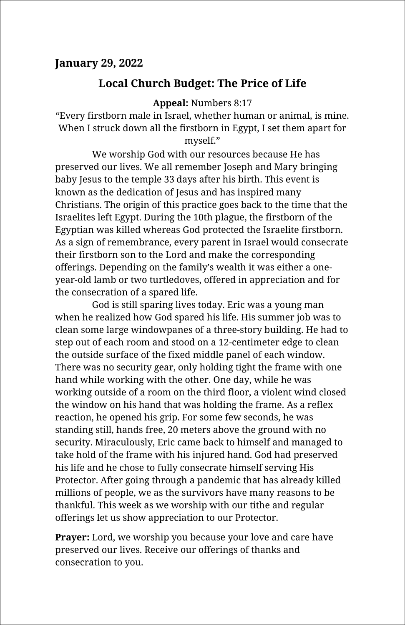#### **January 29, 2022**

#### **Local Church Budget: The Price of Life**

**Appeal:** Numbers 8:17

"Every firstborn male in Israel, whether human or animal, is mine. When I struck down all the firstborn in Egypt, I set them apart for myself."

We worship God with our resources because He has preserved our lives. We all remember Joseph and Mary bringing baby Jesus to the temple 33 days after his birth. This event is known as the dedication of Jesus and has inspired many Christians. The origin of this practice goes back to the time that the Israelites left Egypt. During the 10th plague, the firstborn of the Egyptian was killed whereas God protected the Israelite firstborn. As a sign of remembrance, every parent in Israel would consecrate their firstborn son to the Lord and make the corresponding offerings. Depending on the family's wealth it was either a oneyear-old lamb or two turtledoves, offered in appreciation and for the consecration of a spared life.

God is still sparing lives today. Eric was a young man when he realized how God spared his life. His summer job was to clean some large windowpanes of a three-story building. He had to step out of each room and stood on a 12-centimeter edge to clean the outside surface of the fixed middle panel of each window. There was no security gear, only holding tight the frame with one hand while working with the other. One day, while he was working outside of a room on the third floor, a violent wind closed the window on his hand that was holding the frame. As a reflex reaction, he opened his grip. For some few seconds, he was standing still, hands free, 20 meters above the ground with no security. Miraculously, Eric came back to himself and managed to take hold of the frame with his injured hand. God had preserved his life and he chose to fully consecrate himself serving His Protector. After going through a pandemic that has already killed millions of people, we as the survivors have many reasons to be thankful. This week as we worship with our tithe and regular offerings let us show appreciation to our Protector.

**Prayer:** Lord, we worship you because your love and care have preserved our lives. Receive our offerings of thanks and consecration to you.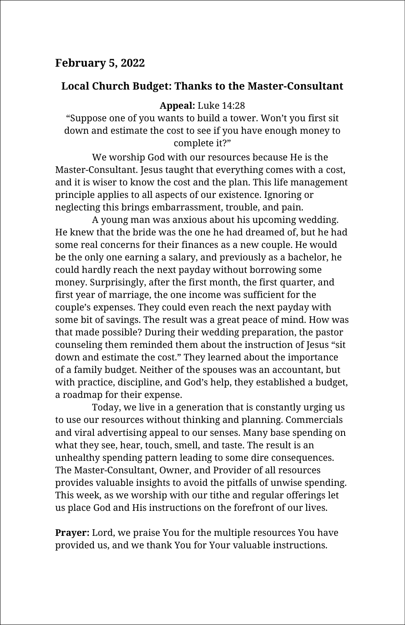## **February 5, 2022**

## **Local Church Budget: Thanks to the Master-Consultant**

#### **Appeal:** Luke 14:28

"Suppose one of you wants to build a tower. Won't you first sit down and estimate the cost to see if you have enough money to complete it?"

We worship God with our resources because He is the Master-Consultant. Jesus taught that everything comes with a cost, and it is wiser to know the cost and the plan. This life management principle applies to all aspects of our existence. Ignoring or neglecting this brings embarrassment, trouble, and pain.

A young man was anxious about his upcoming wedding. He knew that the bride was the one he had dreamed of, but he had some real concerns for their finances as a new couple. He would be the only one earning a salary, and previously as a bachelor, he could hardly reach the next payday without borrowing some money. Surprisingly, after the first month, the first quarter, and first year of marriage, the one income was sufficient for the couple's expenses. They could even reach the next payday with some bit of savings. The result was a great peace of mind. How was that made possible? During their wedding preparation, the pastor counseling them reminded them about the instruction of Jesus "sit down and estimate the cost." They learned about the importance of a family budget. Neither of the spouses was an accountant, but with practice, discipline, and God's help, they established a budget, a roadmap for their expense.

Today, we live in a generation that is constantly urging us to use our resources without thinking and planning. Commercials and viral advertising appeal to our senses. Many base spending on what they see, hear, touch, smell, and taste. The result is an unhealthy spending pattern leading to some dire consequences. The Master-Consultant, Owner, and Provider of all resources provides valuable insights to avoid the pitfalls of unwise spending. This week, as we worship with our tithe and regular offerings let us place God and His instructions on the forefront of our lives.

**Prayer:** Lord, we praise You for the multiple resources You have provided us, and we thank You for Your valuable instructions.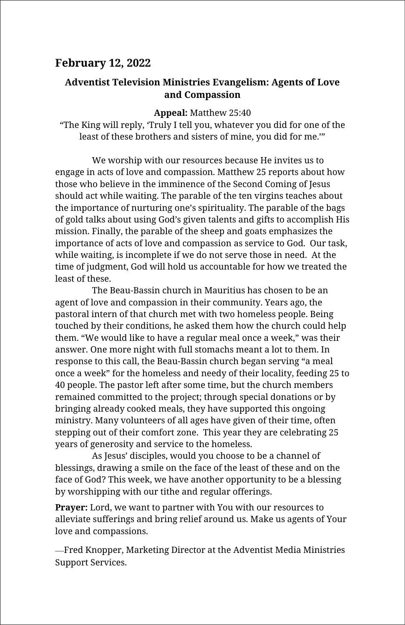## **February 12, 2022**

#### **Adventist Television Ministries Evangelism: Agents of Love and Compassion**

**Appeal:** Matthew 25:40

"The King will reply, 'Truly I tell you, whatever you did for one of the least of these brothers and sisters of mine, you did for me.'"

We worship with our resources because He invites us to engage in acts of love and compassion. Matthew 25 reports about how those who believe in the imminence of the Second Coming of Jesus should act while waiting. The parable of the ten virgins teaches about the importance of nurturing one's spirituality. The parable of the bags of gold talks about using God's given talents and gifts to accomplish His mission. Finally, the parable of the sheep and goats emphasizes the importance of acts of love and compassion as service to God. Our task, while waiting, is incomplete if we do not serve those in need. At the time of judgment, God will hold us accountable for how we treated the least of these.

The Beau-Bassin church in Mauritius has chosen to be an agent of love and compassion in their community. Years ago, the pastoral intern of that church met with two homeless people. Being touched by their conditions, he asked them how the church could help them. "We would like to have a regular meal once a week," was their answer. One more night with full stomachs meant a lot to them. In response to this call, the Beau-Bassin church began serving "a meal once a week" for the homeless and needy of their locality, feeding 25 to 40 people. The pastor left after some time, but the church members remained committed to the project; through special donations or by bringing already cooked meals, they have supported this ongoing ministry. Many volunteers of all ages have given of their time, often stepping out of their comfort zone. This year they are celebrating 25 years of generosity and service to the homeless.

As Jesus' disciples, would you choose to be a channel of blessings, drawing a smile on the face of the least of these and on the face of God? This week, we have another opportunity to be a blessing by worshipping with our tithe and regular offerings.

**Prayer:** Lord, we want to partner with You with our resources to alleviate sufferings and bring relief around us. Make us agents of Your love and compassions.

Fred Knopper, Marketing Director at the Adventist Media Ministries Support Services.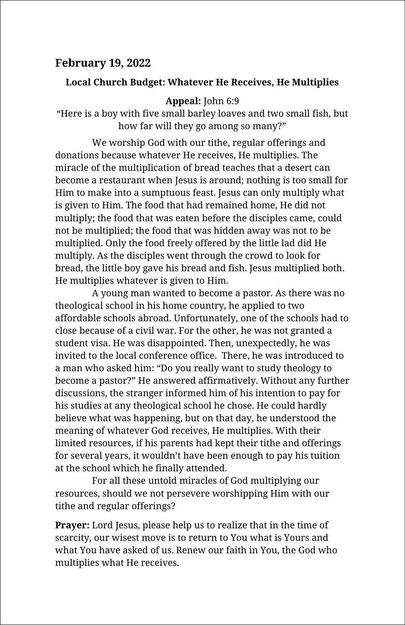## **February 19, 2022**

#### **Local Church Budget: Whatever He Receives, He Multiplies**

#### **Appeal:** John 6:9

"Here is a boy with five small barley loaves and two small fish, but how far will they go among so many?"

We worship God with our tithe, regular offerings and donations because whatever He receives, He multiplies. The miracle of the multiplication of bread teaches that a desert can become a restaurant when Jesus is around; nothing is too small for Him to make into a sumptuous feast. Jesus can only multiply what is given to Him. The food that had remained home, He did not multiply; the food that was eaten before the disciples came, could not be multiplied; the food that was hidden away was not to be multiplied. Only the food freely offered by the little lad did He multiply. As the disciples went through the crowd to look for bread, the little boy gave his bread and fish. Jesus multiplied both. He multiplies whatever is given to Him.

A young man wanted to become a pastor. As there was no theological school in his home country, he applied to two affordable schools abroad. Unfortunately, one of the schools had to close because of a civil war. For the other, he was not granted a student visa. He was disappointed. Then, unexpectedly, he was invited to the local conference office. There, he was introduced to a man who asked him: "Do you really want to study theology to become a pastor?" He answered affirmatively. Without any further discussions, the stranger informed him of his intention to pay for his studies at any theological school he chose. He could hardly believe what was happening, but on that day, he understood the meaning of whatever God receives, He multiplies. With their limited resources, if his parents had kept their tithe and offerings for several years, it wouldn't have been enough to pay his tuition at the school which he finally attended.

For all these untold miracles of God multiplying our resources, should we not persevere worshipping Him with our tithe and regular offerings?

**Prayer:** Lord Jesus, please help us to realize that in the time of scarcity, our wisest move is to return to You what is Yours and what You have asked of us. Renew our faith in You, the God who multiplies what He receives.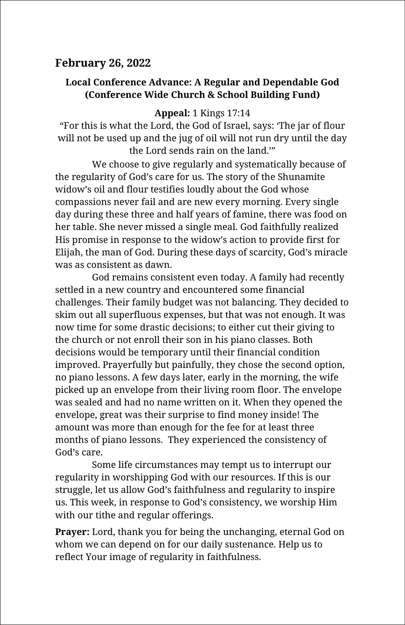## **February 26, 2022**

#### **Local Conference Advance: A Regular and Dependable God (Conference Wide Church & School Building Fund)**

#### **Appeal:** 1 Kings 17:14

"For this is what the Lord, the God of Israel, says: 'The jar of flour will not be used up and the jug of oil will not run dry until the day the Lord sends rain on the land.'"

We choose to give regularly and systematically because of the regularity of God's care for us. The story of the Shunamite widow's oil and flour testifies loudly about the God whose compassions never fail and are new every morning. Every single day during these three and half years of famine, there was food on her table. She never missed a single meal. God faithfully realized His promise in response to the widow's action to provide first for Elijah, the man of God. During these days of scarcity, God's miracle was as consistent as dawn.

God remains consistent even today. A family had recently settled in a new country and encountered some financial challenges. Their family budget was not balancing. They decided to skim out all superfluous expenses, but that was not enough. It was now time for some drastic decisions; to either cut their giving to the church or not enroll their son in his piano classes. Both decisions would be temporary until their financial condition improved. Prayerfully but painfully, they chose the second option, no piano lessons. A few days later, early in the morning, the wife picked up an envelope from their living room floor. The envelope was sealed and had no name written on it. When they opened the envelope, great was their surprise to find money inside! The amount was more than enough for the fee for at least three months of piano lessons. They experienced the consistency of God's care.

Some life circumstances may tempt us to interrupt our regularity in worshipping God with our resources. If this is our struggle, let us allow God's faithfulness and regularity to inspire us. This week, in response to God's consistency, we worship Him with our tithe and regular offerings.

**Prayer:** Lord, thank you for being the unchanging, eternal God on whom we can depend on for our daily sustenance. Help us to reflect Your image of regularity in faithfulness.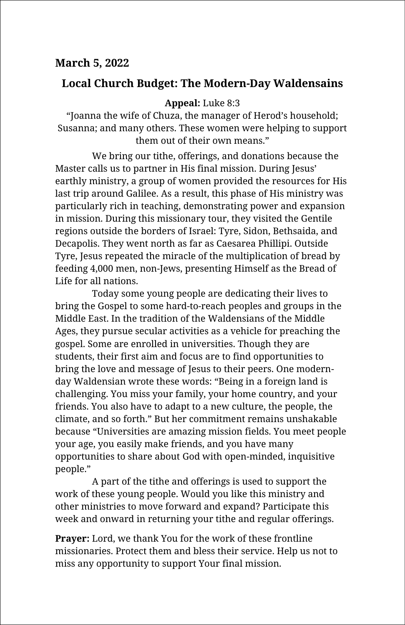## **Local Church Budget: The Modern-Day Waldensains**

## **Appeal:** Luke 8:3

"Joanna the wife of Chuza, the manager of Herod's household; Susanna; and many others. These women were helping to support them out of their own means."

We bring our tithe, offerings, and donations because the Master calls us to partner in His final mission. During Jesus' earthly ministry, a group of women provided the resources for His last trip around Galilee. As a result, this phase of His ministry was particularly rich in teaching, demonstrating power and expansion in mission. During this missionary tour, they visited the Gentile regions outside the borders of Israel: Tyre, Sidon, Bethsaida, and Decapolis. They went north as far as Caesarea Phillipi. Outside Tyre, Jesus repeated the miracle of the multiplication of bread by feeding 4,000 men, non-Jews, presenting Himself as the Bread of Life for all nations.

Today some young people are dedicating their lives to bring the Gospel to some hard-to-reach peoples and groups in the Middle East. In the tradition of the Waldensians of the Middle Ages, they pursue secular activities as a vehicle for preaching the gospel. Some are enrolled in universities. Though they are students, their first aim and focus are to find opportunities to bring the love and message of Jesus to their peers. One modernday Waldensian wrote these words: "Being in a foreign land is challenging. You miss your family, your home country, and your friends. You also have to adapt to a new culture, the people, the climate, and so forth." But her commitment remains unshakable because "Universities are amazing mission fields. You meet people your age, you easily make friends, and you have many opportunities to share about God with open-minded, inquisitive people."

A part of the tithe and offerings is used to support the work of these young people. Would you like this ministry and other ministries to move forward and expand? Participate this week and onward in returning your tithe and regular offerings.

**Prayer:** Lord, we thank You for the work of these frontline missionaries. Protect them and bless their service. Help us not to miss any opportunity to support Your final mission.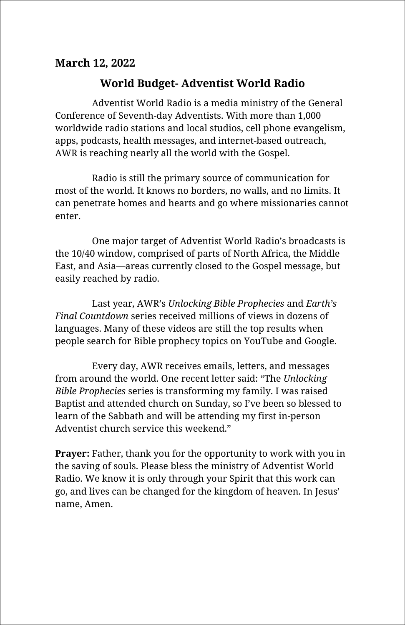## **March 12, 2022**

## **World Budget- Adventist World Radio**

Adventist World Radio is a media ministry of the General Conference of Seventh-day Adventists. With more than 1,000 worldwide radio stations and local studios, cell phone evangelism, apps, podcasts, health messages, and internet-based outreach, AWR is reaching nearly all the world with the Gospel.

Radio is still the primary source of communication for most of the world. It knows no borders, no walls, and no limits. It can penetrate homes and hearts and go where missionaries cannot enter.

One major target of Adventist World Radio's broadcasts is the 10/40 window, comprised of parts of North Africa, the Middle East, and Asia—areas currently closed to the Gospel message, but easily reached by radio.

Last year, AWR's *Unlocking Bible Prophecies* and *Earth's Final Countdown* series received millions of views in dozens of languages. Many of these videos are still the top results when people search for Bible prophecy topics on YouTube and Google.

Every day, AWR receives emails, letters, and messages from around the world. One recent letter said: "The *Unlocking Bible Prophecies* series is transforming my family. I was raised Baptist and attended church on Sunday, so I've been so blessed to learn of the Sabbath and will be attending my first in-person Adventist church service this weekend."

**Prayer:** Father, thank you for the opportunity to work with you in the saving of souls. Please bless the ministry of Adventist World Radio. We know it is only through your Spirit that this work can go, and lives can be changed for the kingdom of heaven. In Jesus' name, Amen.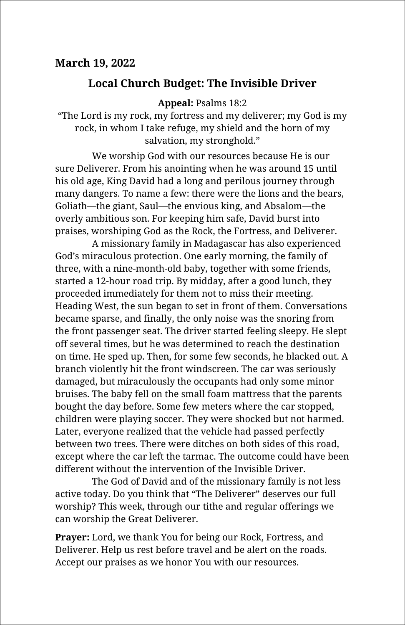## **Local Church Budget: The Invisible Driver**

**Appeal:** Psalms 18:2

"The Lord is my rock, my fortress and my deliverer; my God is my rock, in whom I take refuge, my shield and the horn of my salvation, my stronghold."

We worship God with our resources because He is our sure Deliverer. From his anointing when he was around 15 until his old age, King David had a long and perilous journey through many dangers. To name a few: there were the lions and the bears, Goliath—the giant, Saul—the envious king, and Absalom—the overly ambitious son. For keeping him safe, David burst into praises, worshiping God as the Rock, the Fortress, and Deliverer.

A missionary family in Madagascar has also experienced God's miraculous protection. One early morning, the family of three, with a nine-month-old baby, together with some friends, started a 12-hour road trip. By midday, after a good lunch, they proceeded immediately for them not to miss their meeting. Heading West, the sun began to set in front of them. Conversations became sparse, and finally, the only noise was the snoring from the front passenger seat. The driver started feeling sleepy. He slept off several times, but he was determined to reach the destination on time. He sped up. Then, for some few seconds, he blacked out. A branch violently hit the front windscreen. The car was seriously damaged, but miraculously the occupants had only some minor bruises. The baby fell on the small foam mattress that the parents bought the day before. Some few meters where the car stopped, children were playing soccer. They were shocked but not harmed. Later, everyone realized that the vehicle had passed perfectly between two trees. There were ditches on both sides of this road, except where the car left the tarmac. The outcome could have been different without the intervention of the Invisible Driver.

The God of David and of the missionary family is not less active today. Do you think that "The Deliverer" deserves our full worship? This week, through our tithe and regular offerings we can worship the Great Deliverer.

**Prayer:** Lord, we thank You for being our Rock, Fortress, and Deliverer. Help us rest before travel and be alert on the roads. Accept our praises as we honor You with our resources.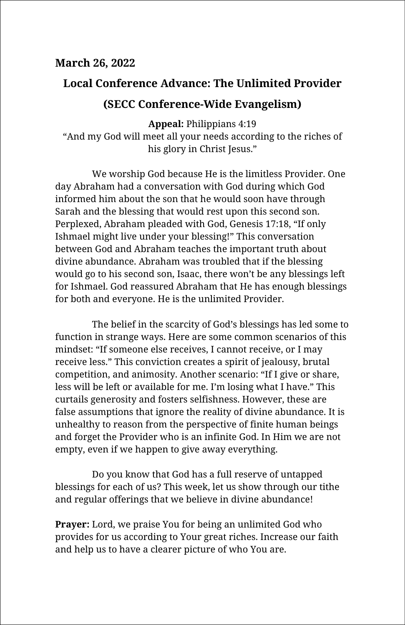#### **March 26, 2022**

# **Local Conference Advance: The Unlimited Provider (SECC Conference-Wide Evangelism)**

**Appeal:** Philippians 4:19 "And my God will meet all your needs according to the riches of his glory in Christ Jesus."

We worship God because He is the limitless Provider. One day Abraham had a conversation with God during which God informed him about the son that he would soon have through Sarah and the blessing that would rest upon this second son. Perplexed, Abraham pleaded with God, Genesis 17:18, "If only Ishmael might live under your blessing!" This conversation between God and Abraham teaches the important truth about divine abundance. Abraham was troubled that if the blessing would go to his second son, Isaac, there won't be any blessings left for Ishmael. God reassured Abraham that He has enough blessings for both and everyone. He is the unlimited Provider.

The belief in the scarcity of God's blessings has led some to function in strange ways. Here are some common scenarios of this mindset: "If someone else receives, I cannot receive, or I may receive less." This conviction creates a spirit of jealousy, brutal competition, and animosity. Another scenario: "If I give or share, less will be left or available for me. I'm losing what I have." This curtails generosity and fosters selfishness. However, these are false assumptions that ignore the reality of divine abundance. It is unhealthy to reason from the perspective of finite human beings and forget the Provider who is an infinite God. In Him we are not empty, even if we happen to give away everything.

Do you know that God has a full reserve of untapped blessings for each of us? This week, let us show through our tithe and regular offerings that we believe in divine abundance!

**Prayer:** Lord, we praise You for being an unlimited God who provides for us according to Your great riches. Increase our faith and help us to have a clearer picture of who You are.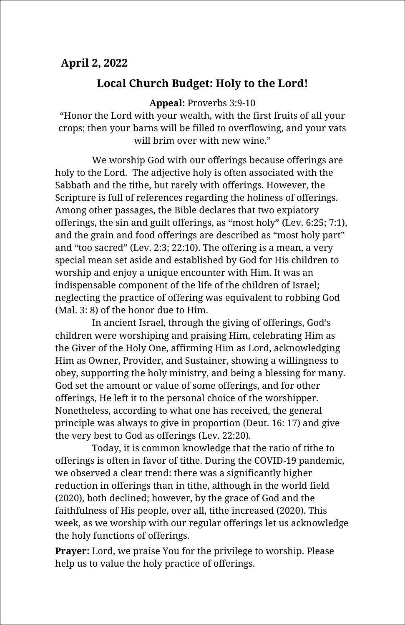## **April 2, 2022**

## **Local Church Budget: Holy to the Lord!**

**Appeal:** Proverbs 3:9-10

"Honor the Lord with your wealth, with the first fruits of all your crops; then your barns will be filled to overflowing, and your vats will brim over with new wine."

We worship God with our offerings because offerings are holy to the Lord. The adjective holy is often associated with the Sabbath and the tithe, but rarely with offerings. However, the Scripture is full of references regarding the holiness of offerings. Among other passages, the Bible declares that two expiatory offerings, the sin and guilt offerings, as "most holy" (Lev. 6:25; 7:1), and the grain and food offerings are described as "most holy part" and "too sacred" (Lev. 2:3; 22:10). The offering is a mean, a very special mean set aside and established by God for His children to worship and enjoy a unique encounter with Him. It was an indispensable component of the life of the children of Israel; neglecting the practice of offering was equivalent to robbing God (Mal. 3: 8) of the honor due to Him.

In ancient Israel, through the giving of offerings, God's children were worshiping and praising Him, celebrating Him as the Giver of the Holy One, affirming Him as Lord, acknowledging Him as Owner, Provider, and Sustainer, showing a willingness to obey, supporting the holy ministry, and being a blessing for many. God set the amount or value of some offerings, and for other offerings, He left it to the personal choice of the worshipper. Nonetheless, according to what one has received, the general principle was always to give in proportion (Deut. 16: 17) and give the very best to God as offerings (Lev. 22:20).

Today, it is common knowledge that the ratio of tithe to offerings is often in favor of tithe. During the COVID-19 pandemic, we observed a clear trend: there was a significantly higher reduction in offerings than in tithe, although in the world field (2020), both declined; however, by the grace of God and the faithfulness of His people, over all, tithe increased (2020). This week, as we worship with our regular offerings let us acknowledge the holy functions of offerings.

**Prayer:** Lord, we praise You for the privilege to worship. Please help us to value the holy practice of offerings.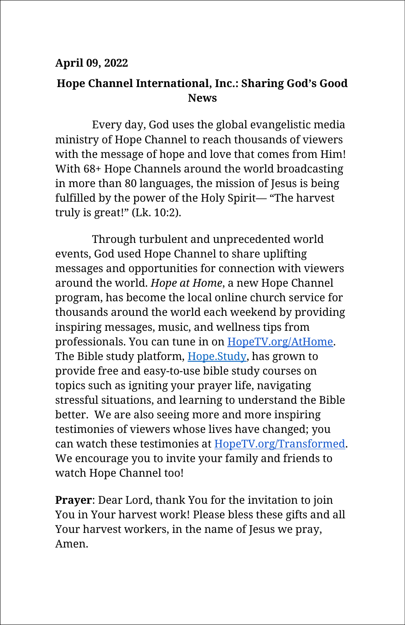## **April 09, 2022**

## **Hope Channel International, Inc.: Sharing God's Good News**

Every day, God uses the global evangelistic media ministry of Hope Channel to reach thousands of viewers with the message of hope and love that comes from Him! With 68+ Hope Channels around the world broadcasting in more than 80 languages, the mission of Jesus is being fulfilled by the power of the Holy Spirit— "The harvest truly is great!" (Lk. 10:2).

Through turbulent and unprecedented world events, God used Hope Channel to share uplifting messages and opportunities for connection with viewers around the world. *Hope at Home*, a new Hope Channel program, has become the local online church service for thousands around the world each weekend by providing inspiring messages, music, and wellness tips from professionals. You can tune in on [HopeTV.org/AtHome.](https://www.hopetv.org/athome) The Bible study platform, [Hope.Study,](https://hope.study/) has grown to provide free and easy-to-use bible study courses on topics such as igniting your prayer life, navigating stressful situations, and learning to understand the Bible better. We are also seeing more and more inspiring testimonies of viewers whose lives have changed; you can watch these testimonies at [HopeTV.org/Transformed.](http://www.hopetv.org/transformed) We encourage you to invite your family and friends to watch Hope Channel too!

**Prayer**: Dear Lord, thank You for the invitation to join You in Your harvest work! Please bless these gifts and all Your harvest workers, in the name of Jesus we pray, Amen.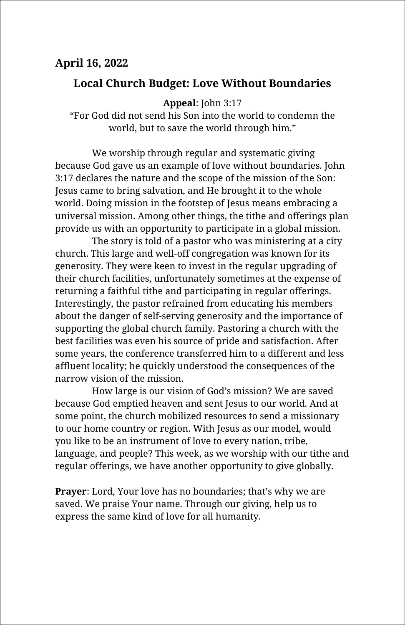## **Local Church Budget: Love Without Boundaries**

**Appeal**: John 3:17

"For God did not send his Son into the world to condemn the world, but to save the world through him."

We worship through regular and systematic giving because God gave us an example of love without boundaries. John 3:17 declares the nature and the scope of the mission of the Son: Jesus came to bring salvation, and He brought it to the whole world. Doing mission in the footstep of Jesus means embracing a universal mission. Among other things, the tithe and offerings plan provide us with an opportunity to participate in a global mission.

The story is told of a pastor who was ministering at a city church. This large and well-off congregation was known for its generosity. They were keen to invest in the regular upgrading of their church facilities, unfortunately sometimes at the expense of returning a faithful tithe and participating in regular offerings. Interestingly, the pastor refrained from educating his members about the danger of self-serving generosity and the importance of supporting the global church family. Pastoring a church with the best facilities was even his source of pride and satisfaction. After some years, the conference transferred him to a different and less affluent locality; he quickly understood the consequences of the narrow vision of the mission.

How large is our vision of God's mission? We are saved because God emptied heaven and sent Jesus to our world. And at some point, the church mobilized resources to send a missionary to our home country or region. With Jesus as our model, would you like to be an instrument of love to every nation, tribe, language, and people? This week, as we worship with our tithe and regular offerings, we have another opportunity to give globally.

**Prayer**: Lord, Your love has no boundaries; that's why we are saved. We praise Your name. Through our giving, help us to express the same kind of love for all humanity.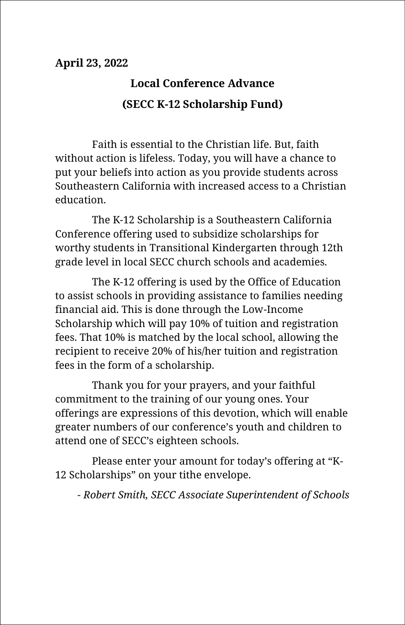# **Local Conference Advance (SECC K-12 Scholarship Fund)**

Faith is essential to the Christian life. But, faith without action is lifeless. Today, you will have a chance to put your beliefs into action as you provide students across Southeastern California with increased access to a Christian education.

The K-12 Scholarship is a Southeastern California Conference offering used to subsidize scholarships for worthy students in Transitional Kindergarten through 12th grade level in local SECC church schools and academies.

The K-12 offering is used by the Office of Education to assist schools in providing assistance to families needing financial aid. This is done through the Low-Income Scholarship which will pay 10% of tuition and registration fees. That 10% is matched by the local school, allowing the recipient to receive 20% of his/her tuition and registration fees in the form of a scholarship.

Thank you for your prayers, and your faithful commitment to the training of our young ones. Your offerings are expressions of this devotion, which will enable greater numbers of our conference's youth and children to attend one of SECC's eighteen schools.

Please enter your amount for today's offering at "K-12 Scholarships" on your tithe envelope.

*- Robert Smith, SECC Associate Superintendent of Schools*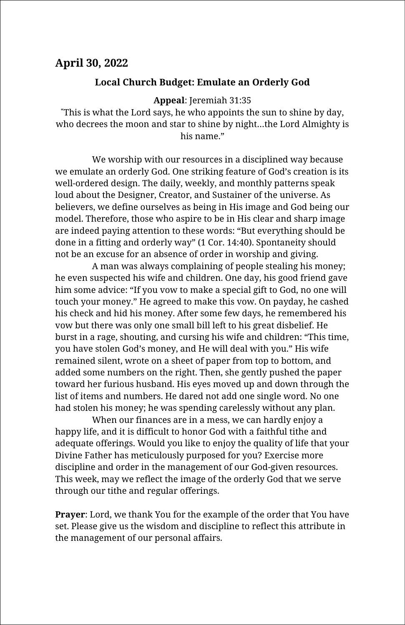#### **April 30, 2022**

#### **Local Church Budget: Emulate an Orderly God**

**Appeal**: Jeremiah 31:35

**"**This is what the Lord says, he who appoints the sun to shine by day, who decrees the moon and star to shine by night…the Lord Almighty is his name."

We worship with our resources in a disciplined way because we emulate an orderly God. One striking feature of God's creation is its well-ordered design. The daily, weekly, and monthly patterns speak loud about the Designer, Creator, and Sustainer of the universe. As believers, we define ourselves as being in His image and God being our model. Therefore, those who aspire to be in His clear and sharp image are indeed paying attention to these words: "But everything should be done in a fitting and orderly way" (1 Cor. 14:40). Spontaneity should not be an excuse for an absence of order in worship and giving.

A man was always complaining of people stealing his money; he even suspected his wife and children. One day, his good friend gave him some advice: "If you vow to make a special gift to God, no one will touch your money." He agreed to make this vow. On payday, he cashed his check and hid his money. After some few days, he remembered his vow but there was only one small bill left to his great disbelief. He burst in a rage, shouting, and cursing his wife and children: "This time, you have stolen God's money, and He will deal with you." His wife remained silent, wrote on a sheet of paper from top to bottom, and added some numbers on the right. Then, she gently pushed the paper toward her furious husband. His eyes moved up and down through the list of items and numbers. He dared not add one single word. No one had stolen his money; he was spending carelessly without any plan.

When our finances are in a mess, we can hardly enjoy a happy life, and it is difficult to honor God with a faithful tithe and adequate offerings. Would you like to enjoy the quality of life that your Divine Father has meticulously purposed for you? Exercise more discipline and order in the management of our God-given resources. This week, may we reflect the image of the orderly God that we serve through our tithe and regular offerings.

**Prayer**: Lord, we thank You for the example of the order that You have set. Please give us the wisdom and discipline to reflect this attribute in the management of our personal affairs.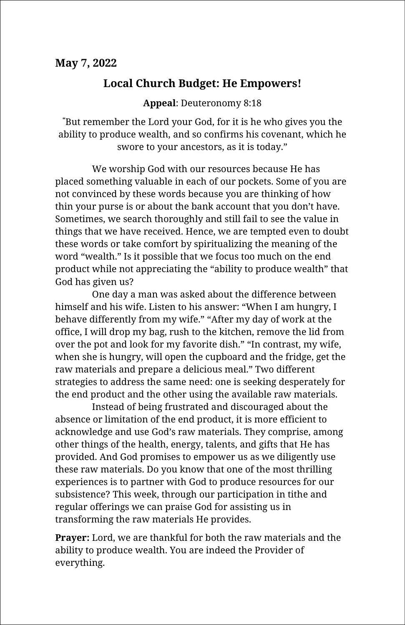## **Local Church Budget: He Empowers!**

**Appeal**: Deuteronomy 8:18

**"**But remember the Lord your God, for it is he who gives you the ability to produce wealth, and so confirms his covenant, which he swore to your ancestors, as it is today."

We worship God with our resources because He has placed something valuable in each of our pockets. Some of you are not convinced by these words because you are thinking of how thin your purse is or about the bank account that you don't have. Sometimes, we search thoroughly and still fail to see the value in things that we have received. Hence, we are tempted even to doubt these words or take comfort by spiritualizing the meaning of the word "wealth." Is it possible that we focus too much on the end product while not appreciating the "ability to produce wealth" that God has given us?

One day a man was asked about the difference between himself and his wife. Listen to his answer: "When I am hungry, I behave differently from my wife." "After my day of work at the office, I will drop my bag, rush to the kitchen, remove the lid from over the pot and look for my favorite dish." "In contrast, my wife, when she is hungry, will open the cupboard and the fridge, get the raw materials and prepare a delicious meal." Two different strategies to address the same need: one is seeking desperately for the end product and the other using the available raw materials.

Instead of being frustrated and discouraged about the absence or limitation of the end product, it is more efficient to acknowledge and use God's raw materials. They comprise, among other things of the health, energy, talents, and gifts that He has provided. And God promises to empower us as we diligently use these raw materials. Do you know that one of the most thrilling experiences is to partner with God to produce resources for our subsistence? This week, through our participation in tithe and regular offerings we can praise God for assisting us in transforming the raw materials He provides.

**Prayer:** Lord, we are thankful for both the raw materials and the ability to produce wealth. You are indeed the Provider of everything.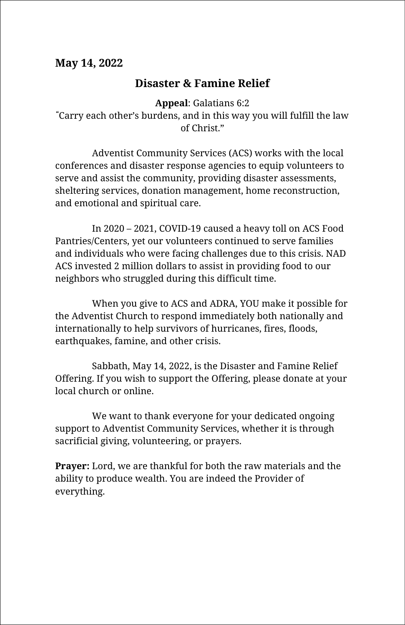#### **May 14, 2022**

## **Disaster & Famine Relief**

**Appeal**: Galatians 6:2 **"**Carry each other's burdens, and in this way you will fulfill the law of Christ."

Adventist Community Services (ACS) works with the local conferences and disaster response agencies to equip volunteers to serve and assist the community, providing disaster assessments, sheltering services, donation management, home reconstruction, and emotional and spiritual care.

In 2020 – 2021, COVID-19 caused a heavy toll on ACS Food Pantries/Centers, yet our volunteers continued to serve families and individuals who were facing challenges due to this crisis. NAD ACS invested 2 million dollars to assist in providing food to our neighbors who struggled during this difficult time.

When you give to ACS and ADRA, YOU make it possible for the Adventist Church to respond immediately both nationally and internationally to help survivors of hurricanes, fires, floods, earthquakes, famine, and other crisis.

Sabbath, May 14, 2022, is the Disaster and Famine Relief Offering. If you wish to support the Offering, please donate at your local church or online.

We want to thank everyone for your dedicated ongoing support to Adventist Community Services, whether it is through sacrificial giving, volunteering, or prayers.

**Prayer:** Lord, we are thankful for both the raw materials and the ability to produce wealth. You are indeed the Provider of everything.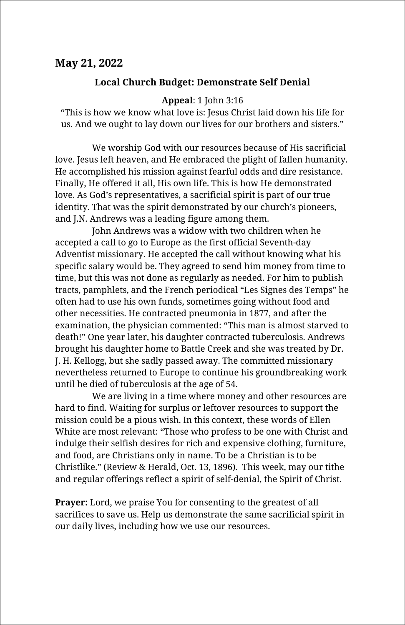#### **May 21, 2022**

#### **Local Church Budget: Demonstrate Self Denial**

#### **Appeal**: 1 John 3:16

"This is how we know what love is: Jesus Christ laid down his life for us. And we ought to lay down our lives for our brothers and sisters."

We worship God with our resources because of His sacrificial love. Jesus left heaven, and He embraced the plight of fallen humanity. He accomplished his mission against fearful odds and dire resistance. Finally, He offered it all, His own life. This is how He demonstrated love. As God's representatives, a sacrificial spirit is part of our true identity. That was the spirit demonstrated by our church's pioneers, and J.N. Andrews was a leading figure among them.

John Andrews was a widow with two children when he accepted a call to go to Europe as the first official Seventh-day Adventist missionary. He accepted the call without knowing what his specific salary would be. They agreed to send him money from time to time, but this was not done as regularly as needed. For him to publish tracts, pamphlets, and the French periodical "Les Signes des Temps" he often had to use his own funds, sometimes going without food and other necessities. He contracted pneumonia in 1877, and after the examination, the physician commented: "This man is almost starved to death!" One year later, his daughter contracted tuberculosis. Andrews brought his daughter home to Battle Creek and she was treated by Dr. J. H. Kellogg, but she sadly passed away. The committed missionary nevertheless returned to Europe to continue his groundbreaking work until he died of tuberculosis at the age of 54.

We are living in a time where money and other resources are hard to find. Waiting for surplus or leftover resources to support the mission could be a pious wish. In this context, these words of Ellen White are most relevant: "Those who profess to be one with Christ and indulge their selfish desires for rich and expensive clothing, furniture, and food, are Christians only in name. To be a Christian is to be Christlike." (Review & Herald, Oct. 13, 1896). This week, may our tithe and regular offerings reflect a spirit of self-denial, the Spirit of Christ.

**Prayer:** Lord, we praise You for consenting to the greatest of all sacrifices to save us. Help us demonstrate the same sacrificial spirit in our daily lives, including how we use our resources.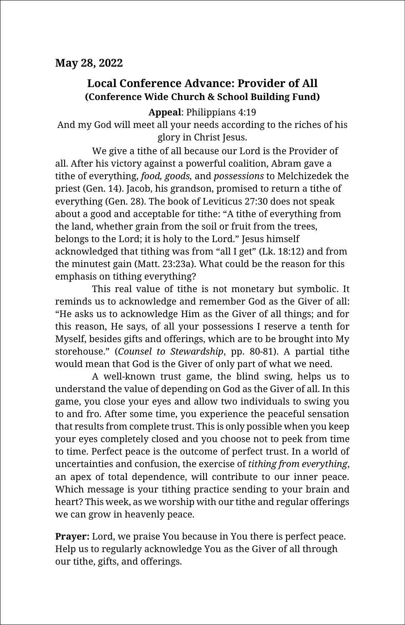## **Local Conference Advance: Provider of All (Conference Wide Church & School Building Fund)**

**Appeal**: Philippians 4:19

And my God will meet all your needs according to the riches of his glory in Christ Jesus.

We give a tithe of all because our Lord is the Provider of all. After his victory against a powerful coalition, Abram gave a tithe of everything, *food, goods,* and *possessions* to Melchizedek the priest (Gen. 14). Jacob, his grandson, promised to return a tithe of everything (Gen. 28). The book of Leviticus 27:30 does not speak about a good and acceptable for tithe: "A tithe of everything from the land, whether grain from the soil or fruit from the trees, belongs to the Lord; it is holy to the Lord." Jesus himself acknowledged that tithing was from "all I get" (Lk. 18:12) and from the minutest gain (Matt. 23:23a). What could be the reason for this emphasis on tithing everything?

This real value of tithe is not monetary but symbolic. It reminds us to acknowledge and remember God as the Giver of all: "He asks us to acknowledge Him as the Giver of all things; and for this reason, He says, of all your possessions I reserve a tenth for Myself, besides gifts and offerings, which are to be brought into My storehouse." (*Counsel to Stewardship*, pp. 80-81). A partial tithe would mean that God is the Giver of only part of what we need.

A well-known trust game, the blind swing, helps us to understand the value of depending on God as the Giver of all. In this game, you close your eyes and allow two individuals to swing you to and fro. After some time, you experience the peaceful sensation that results from complete trust. This is only possible when you keep your eyes completely closed and you choose not to peek from time to time. Perfect peace is the outcome of perfect trust. In a world of uncertainties and confusion, the exercise of *tithing from everything*, an apex of total dependence, will contribute to our inner peace. Which message is your tithing practice sending to your brain and heart? This week, as we worship with our tithe and regular offerings we can grow in heavenly peace.

**Prayer:** Lord, we praise You because in You there is perfect peace. Help us to regularly acknowledge You as the Giver of all through our tithe, gifts, and offerings.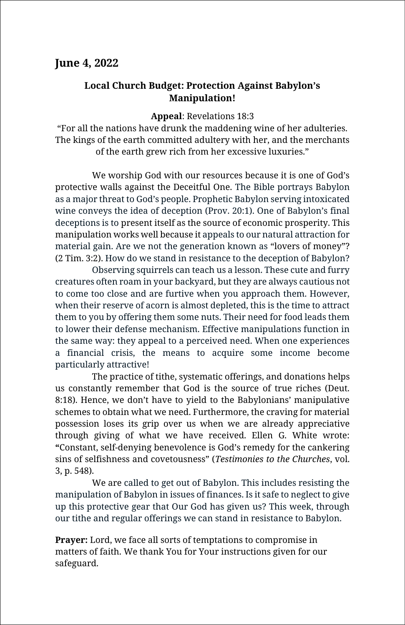#### **June 4, 2022**

#### **Local Church Budget: Protection Against Babylon's Manipulation!**

**Appeal**: Revelations 18:3

"For all the nations have drunk the maddening wine of her adulteries. The kings of the earth committed adultery with her, and the merchants of the earth grew rich from her excessive luxuries."

We worship God with our resources because it is one of God's protective walls against the Deceitful One. The Bible portrays Babylon as a major threat to God's people. Prophetic Babylon serving intoxicated wine conveys the idea of deception (Prov. 20:1). One of Babylon's final deceptions is to present itself as the source of economic prosperity. This manipulation works well because it appeals to our natural attraction for material gain. Are we not the generation known as "lovers of money"? (2 Tim. 3:2). How do we stand in resistance to the deception of Babylon?

Observing squirrels can teach us a lesson. These cute and furry creatures often roam in your backyard, but they are always cautious not to come too close and are furtive when you approach them. However, when their reserve of acorn is almost depleted, this is the time to attract them to you by offering them some nuts. Their need for food leads them to lower their defense mechanism. Effective manipulations function in the same way: they appeal to a perceived need. When one experiences a financial crisis, the means to acquire some income become particularly attractive!

The practice of tithe, systematic offerings, and donations helps us constantly remember that God is the source of true riches (Deut. 8:18). Hence, we don't have to yield to the Babylonians' manipulative schemes to obtain what we need. Furthermore, the craving for material possession loses its grip over us when we are already appreciative through giving of what we have received. Ellen G. White wrote: **"**Constant, self-denying benevolence is God's remedy for the cankering sins of selfishness and covetousness" (*Testimonies to the Churches*, vol. 3, p. 548).

We are called to get out of Babylon. This includes resisting the manipulation of Babylon in issues of finances. Is it safe to neglect to give up this protective gear that Our God has given us? This week, through our tithe and regular offerings we can stand in resistance to Babylon.

**Prayer:** Lord, we face all sorts of temptations to compromise in matters of faith. We thank You for Your instructions given for our safeguard.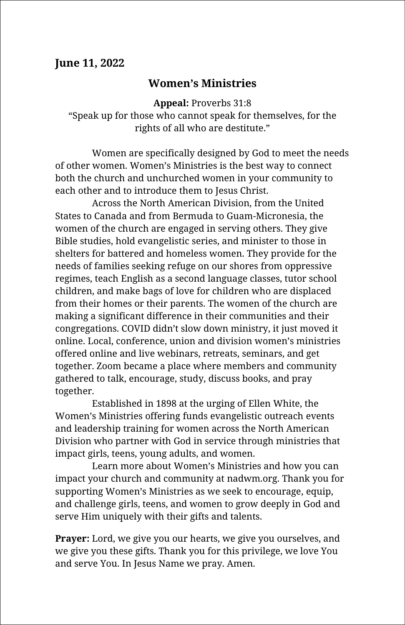#### **June 11, 2022**

## **Women's Ministries**

**Appeal:** Proverbs 31:8 "Speak up for those who cannot speak for themselves, for the rights of all who are destitute."

Women are specifically designed by God to meet the needs of other women. Women's Ministries is the best way to connect both the church and unchurched women in your community to each other and to introduce them to Jesus Christ.

Across the North American Division, from the United States to Canada and from Bermuda to Guam-Micronesia, the women of the church are engaged in serving others. They give Bible studies, hold evangelistic series, and minister to those in shelters for battered and homeless women. They provide for the needs of families seeking refuge on our shores from oppressive regimes, teach English as a second language classes, tutor school children, and make bags of love for children who are displaced from their homes or their parents. The women of the church are making a significant difference in their communities and their congregations. COVID didn't slow down ministry, it just moved it online. Local, conference, union and division women's ministries offered online and live webinars, retreats, seminars, and get together. Zoom became a place where members and community gathered to talk, encourage, study, discuss books, and pray together.

Established in 1898 at the urging of Ellen White, the Women's Ministries offering funds evangelistic outreach events and leadership training for women across the North American Division who partner with God in service through ministries that impact girls, teens, young adults, and women.

Learn more about Women's Ministries and how you can impact your church and community at nadwm.org. Thank you for supporting Women's Ministries as we seek to encourage, equip, and challenge girls, teens, and women to grow deeply in God and serve Him uniquely with their gifts and talents.

**Prayer:** Lord, we give you our hearts, we give you ourselves, and we give you these gifts. Thank you for this privilege, we love You and serve You. In Jesus Name we pray. Amen.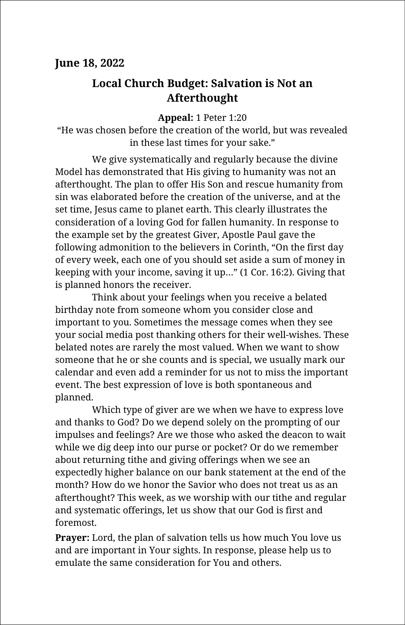## **Local Church Budget: Salvation is Not an Afterthought**

**Appeal:** 1 Peter 1:20

"He was chosen before the creation of the world, but was revealed in these last times for your sake."

We give systematically and regularly because the divine Model has demonstrated that His giving to humanity was not an afterthought. The plan to offer His Son and rescue humanity from sin was elaborated before the creation of the universe, and at the set time, Jesus came to planet earth. This clearly illustrates the consideration of a loving God for fallen humanity. In response to the example set by the greatest Giver, Apostle Paul gave the following admonition to the believers in Corinth, "On the first day of every week, each one of you should set aside a sum of money in keeping with your income, saving it up…" (1 Cor. 16:2). Giving that is planned honors the receiver.

Think about your feelings when you receive a belated birthday note from someone whom you consider close and important to you. Sometimes the message comes when they see your social media post thanking others for their well-wishes. These belated notes are rarely the most valued. When we want to show someone that he or she counts and is special, we usually mark our calendar and even add a reminder for us not to miss the important event. The best expression of love is both spontaneous and planned.

Which type of giver are we when we have to express love and thanks to God? Do we depend solely on the prompting of our impulses and feelings? Are we those who asked the deacon to wait while we dig deep into our purse or pocket? Or do we remember about returning tithe and giving offerings when we see an expectedly higher balance on our bank statement at the end of the month? How do we honor the Savior who does not treat us as an afterthought? This week, as we worship with our tithe and regular and systematic offerings, let us show that our God is first and foremost.

**Prayer:** Lord, the plan of salvation tells us how much You love us and are important in Your sights. In response, please help us to emulate the same consideration for You and others.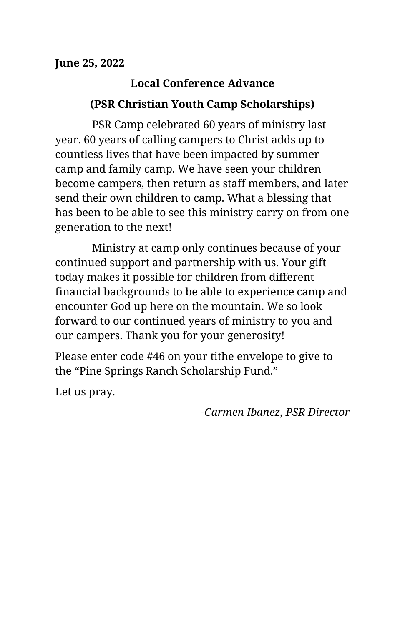# **Local Conference Advance (PSR Christian Youth Camp Scholarships)**

PSR Camp celebrated 60 years of ministry last year. 60 years of calling campers to Christ adds up to countless lives that have been impacted by summer camp and family camp. We have seen your children become campers, then return as staff members, and later send their own children to camp. What a blessing that has been to be able to see this ministry carry on from one generation to the next!

Ministry at camp only continues because of your continued support and partnership with us. Your gift today makes it possible for children from different financial backgrounds to be able to experience camp and encounter God up here on the mountain. We so look forward to our continued years of ministry to you and our campers. Thank you for your generosity!

Please enter code #46 on your tithe envelope to give to the "Pine Springs Ranch Scholarship Fund."

Let us pray.

*-Carmen Ibanez, PSR Director*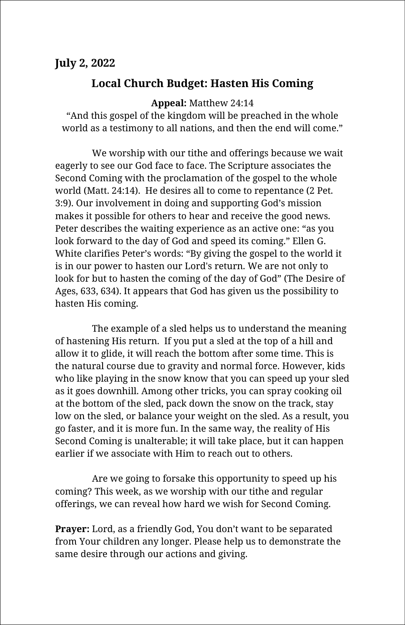#### **July 2, 2022**

## **Local Church Budget: Hasten His Coming**

**Appeal:** Matthew 24:14

"And this gospel of the kingdom will be preached in the whole world as a testimony to all nations, and then the end will come."

We worship with our tithe and offerings because we wait eagerly to see our God face to face. The Scripture associates the Second Coming with the proclamation of the gospel to the whole world (Matt. 24:14). He desires all to come to repentance (2 Pet. 3:9). Our involvement in doing and supporting God's mission makes it possible for others to hear and receive the good news. Peter describes the waiting experience as an active one: "as you look forward to the day of God and speed its coming." Ellen G. White clarifies Peter's words: "By giving the gospel to the world it is in our power to hasten our Lord's return. We are not only to look for but to hasten the coming of the day of God" (The Desire of Ages, 633, 634). It appears that God has given us the possibility to hasten His coming.

The example of a sled helps us to understand the meaning of hastening His return. If you put a sled at the top of a hill and allow it to glide, it will reach the bottom after some time. This is the natural course due to gravity and normal force. However, kids who like playing in the snow know that you can speed up your sled as it goes downhill. Among other tricks, you can spray cooking oil at the bottom of the sled, pack down the snow on the track, stay low on the sled, or balance your weight on the sled. As a result, you go faster, and it is more fun. In the same way, the reality of His Second Coming is unalterable; it will take place, but it can happen earlier if we associate with Him to reach out to others.

Are we going to forsake this opportunity to speed up his coming? This week, as we worship with our tithe and regular offerings, we can reveal how hard we wish for Second Coming.

**Prayer:** Lord, as a friendly God, You don't want to be separated from Your children any longer. Please help us to demonstrate the same desire through our actions and giving.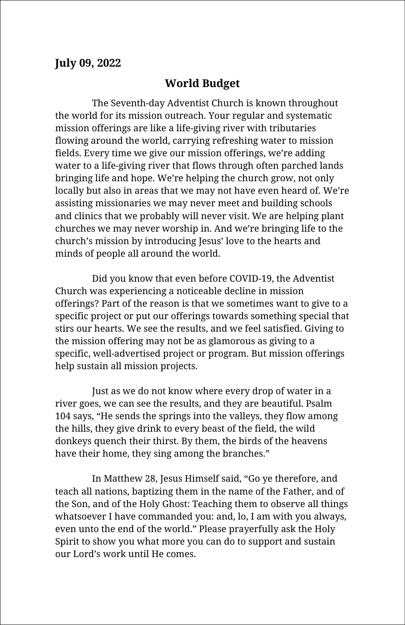#### **July 09, 2022**

#### **World Budget**

The Seventh-day Adventist Church is known throughout the world for its mission outreach. Your regular and systematic mission offerings are like a life-giving river with tributaries flowing around the world, carrying refreshing water to mission fields. Every time we give our mission offerings, we're adding water to a life-giving river that flows through often parched lands bringing life and hope. We're helping the church grow, not only locally but also in areas that we may not have even heard of. We're assisting missionaries we may never meet and building schools and clinics that we probably will never visit. We are helping plant churches we may never worship in. And we're bringing life to the church's mission by introducing Jesus' love to the hearts and minds of people all around the world.

Did you know that even before COVID-19, the Adventist Church was experiencing a noticeable decline in mission offerings? Part of the reason is that we sometimes want to give to a specific project or put our offerings towards something special that stirs our hearts. We see the results, and we feel satisfied. Giving to the mission offering may not be as glamorous as giving to a specific, well-advertised project or program. But mission offerings help sustain all mission projects.

Just as we do not know where every drop of water in a river goes, we can see the results, and they are beautiful. Psalm 104 says, "He sends the springs into the valleys, they flow among the hills, they give drink to every beast of the field, the wild donkeys quench their thirst. By them, the birds of the heavens have their home, they sing among the branches."

In Matthew 28, Jesus Himself said, "Go ye therefore, and teach all nations, baptizing them in the name of the Father, and of the Son, and of the Holy Ghost: Teaching them to observe all things whatsoever I have commanded you: and, lo, I am with you always, even unto the end of the world." Please prayerfully ask the Holy Spirit to show you what more you can do to support and sustain our Lord's work until He comes.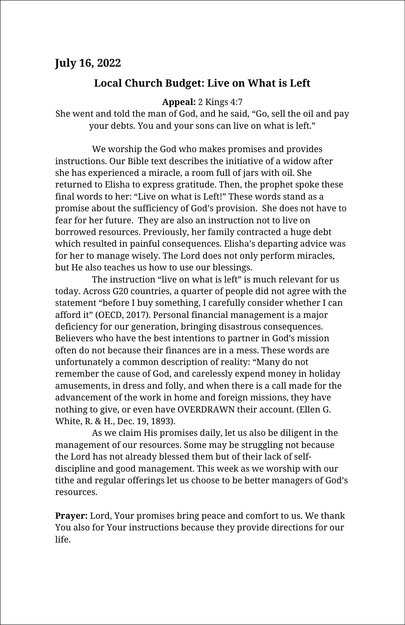## **Local Church Budget: Live on What is Left**

**Appeal:** 2 Kings 4:7

She went and told the man of God, and he said, "Go, sell the oil and pay your debts. You and your sons can live on what is left."

We worship the God who makes promises and provides instructions. Our Bible text describes the initiative of a widow after she has experienced a miracle, a room full of jars with oil. She returned to Elisha to express gratitude. Then, the prophet spoke these final words to her: "Live on what is Left!" These words stand as a promise about the sufficiency of God's provision. She does not have to fear for her future. They are also an instruction not to live on borrowed resources. Previously, her family contracted a huge debt which resulted in painful consequences. Elisha's departing advice was for her to manage wisely. The Lord does not only perform miracles, but He also teaches us how to use our blessings.

The instruction "live on what is left" is much relevant for us today. Across G20 countries, a quarter of people did not agree with the statement "before I buy something, I carefully consider whether I can afford it" (OECD, 2017). Personal financial management is a major deficiency for our generation, bringing disastrous consequences. Believers who have the best intentions to partner in God's mission often do not because their finances are in a mess. These words are unfortunately a common description of reality: "Many do not remember the cause of God, and carelessly expend money in holiday amusements, in dress and folly, and when there is a call made for the advancement of the work in home and foreign missions, they have nothing to give, or even have OVERDRAWN their account. (Ellen G. White, R. & H., Dec. 19, 1893).

As we claim His promises daily, let us also be diligent in the management of our resources. Some may be struggling not because the Lord has not already blessed them but of their lack of selfdiscipline and good management. This week as we worship with our tithe and regular offerings let us choose to be better managers of God's resources.

**Prayer:** Lord, Your promises bring peace and comfort to us. We thank You also for Your instructions because they provide directions for our life.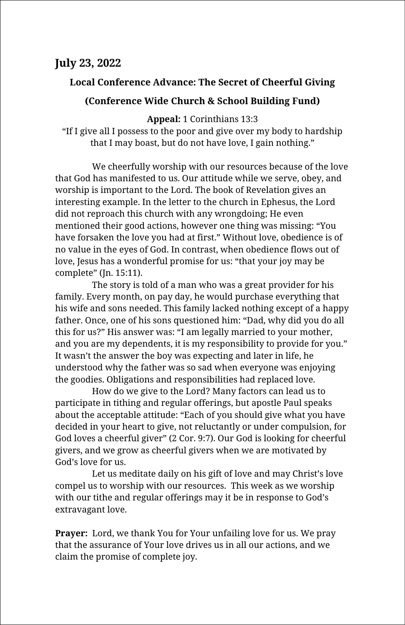## **July 23, 2022**

#### **Local Conference Advance: The Secret of Cheerful Giving**

#### **(Conference Wide Church & School Building Fund)**

**Appeal:** 1 Corinthians 13:3

"If I give all I possess to the poor and give over my body to hardship that I may boast, but do not have love, I gain nothing."

We cheerfully worship with our resources because of the love that God has manifested to us. Our attitude while we serve, obey, and worship is important to the Lord. The book of Revelation gives an interesting example. In the letter to the church in Ephesus, the Lord did not reproach this church with any wrongdoing; He even mentioned their good actions, however one thing was missing: "You have forsaken the love you had at first." Without love, obedience is of no value in the eyes of God. In contrast, when obedience flows out of love, Jesus has a wonderful promise for us: "that your joy may be complete" (Jn. 15:11).

The story is told of a man who was a great provider for his family. Every month, on pay day, he would purchase everything that his wife and sons needed. This family lacked nothing except of a happy father. Once, one of his sons questioned him: "Dad, why did you do all this for us?" His answer was: "I am legally married to your mother, and you are my dependents, it is my responsibility to provide for you." It wasn't the answer the boy was expecting and later in life, he understood why the father was so sad when everyone was enjoying the goodies. Obligations and responsibilities had replaced love.

How do we give to the Lord? Many factors can lead us to participate in tithing and regular offerings, but apostle Paul speaks about the acceptable attitude: "Each of you should give what you have decided in your heart to give, not reluctantly or under compulsion, for God loves a cheerful giver" (2 Cor. 9:7). Our God is looking for cheerful givers, and we grow as cheerful givers when we are motivated by God's love for us.

Let us meditate daily on his gift of love and may Christ's love compel us to worship with our resources. This week as we worship with our tithe and regular offerings may it be in response to God's extravagant love.

**Prayer:** Lord, we thank You for Your unfailing love for us. We pray that the assurance of Your love drives us in all our actions, and we claim the promise of complete joy.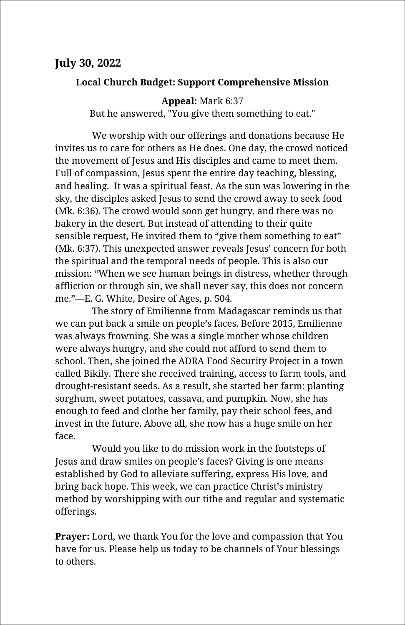#### **Local Church Budget: Support Comprehensive Mission**

**Appeal:** Mark 6:37

But he answered, "You give them something to eat."

We worship with our offerings and donations because He invites us to care for others as He does. One day, the crowd noticed the movement of Jesus and His disciples and came to meet them. Full of compassion, Jesus spent the entire day teaching, blessing, and healing. It was a spiritual feast. As the sun was lowering in the sky, the disciples asked Jesus to send the crowd away to seek food (Mk. 6:36). The crowd would soon get hungry, and there was no bakery in the desert. But instead of attending to their quite sensible request, He invited them to "give them something to eat" (Mk. 6:37). This unexpected answer reveals Jesus' concern for both the spiritual and the temporal needs of people. This is also our mission: "When we see human beings in distress, whether through affliction or through sin, we shall never say, this does not concern me."—E. G. White, Desire of Ages, p. 504.

The story of Emilienne from Madagascar reminds us that we can put back a smile on people's faces. Before 2015, Emilienne was always frowning. She was a single mother whose children were always hungry, and she could not afford to send them to school. Then, she joined the ADRA Food Security Project in a town called Bikily. There she received training, access to farm tools, and drought-resistant seeds. As a result, she started her farm: planting sorghum, sweet potatoes, cassava, and pumpkin. Now, she has enough to feed and clothe her family, pay their school fees, and invest in the future. Above all, she now has a huge smile on her face.

Would you like to do mission work in the footsteps of Jesus and draw smiles on people's faces? Giving is one means established by God to alleviate suffering, express His love, and bring back hope. This week, we can practice Christ's ministry method by worshipping with our tithe and regular and systematic offerings.

**Prayer:** Lord, we thank You for the love and compassion that You have for us. Please help us today to be channels of Your blessings to others.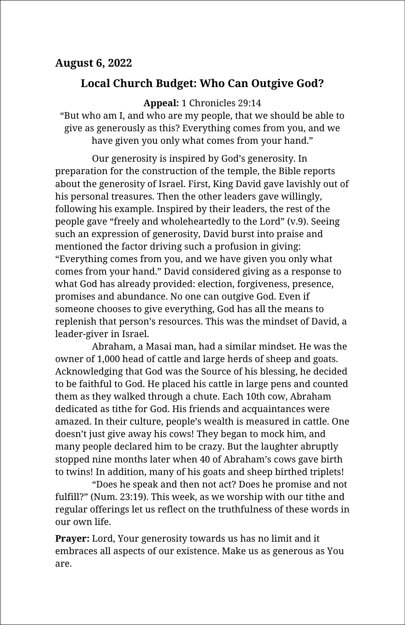## **August 6, 2022**

## **Local Church Budget: Who Can Outgive God?**

**Appeal:** 1 Chronicles 29:14

"But who am I, and who are my people, that we should be able to give as generously as this? Everything comes from you, and we have given you only what comes from your hand."

Our generosity is inspired by God's generosity. In preparation for the construction of the temple, the Bible reports about the generosity of Israel. First, King David gave lavishly out of his personal treasures. Then the other leaders gave willingly, following his example. Inspired by their leaders, the rest of the people gave "freely and wholeheartedly to the Lord" (v.9). Seeing such an expression of generosity, David burst into praise and mentioned the factor driving such a profusion in giving: "Everything comes from you, and we have given you only what comes from your hand." David considered giving as a response to what God has already provided: election, forgiveness, presence, promises and abundance. No one can outgive God. Even if someone chooses to give everything, God has all the means to replenish that person's resources. This was the mindset of David, a leader-giver in Israel.

Abraham, a Masai man, had a similar mindset. He was the owner of 1,000 head of cattle and large herds of sheep and goats. Acknowledging that God was the Source of his blessing, he decided to be faithful to God. He placed his cattle in large pens and counted them as they walked through a chute. Each 10th cow, Abraham dedicated as tithe for God. His friends and acquaintances were amazed. In their culture, people's wealth is measured in cattle. One doesn't just give away his cows! They began to mock him, and many people declared him to be crazy. But the laughter abruptly stopped nine months later when 40 of Abraham's cows gave birth to twins! In addition, many of his goats and sheep birthed triplets!

"Does he speak and then not act? Does he promise and not fulfill?" (Num. 23:19). This week, as we worship with our tithe and regular offerings let us reflect on the truthfulness of these words in our own life.

**Prayer:** Lord, Your generosity towards us has no limit and it embraces all aspects of our existence. Make us as generous as You are.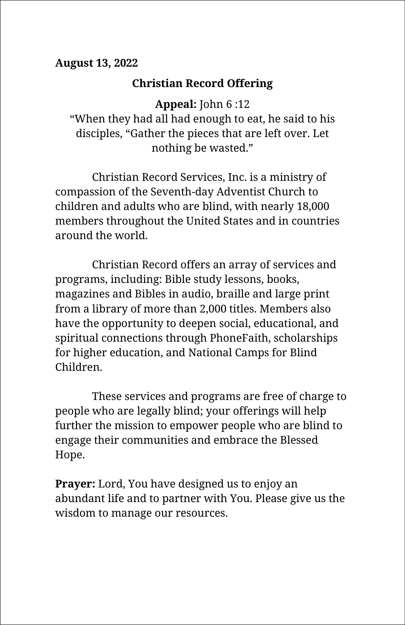## **August 13, 2022**

## **Christian Record Offering**

**Appeal:** John 6 :12

"When they had all had enough to eat, he said to his disciples, "Gather the pieces that are left over. Let nothing be wasted."

Christian Record Services, Inc. is a ministry of compassion of the Seventh-day Adventist Church to children and adults who are blind, with nearly 18,000 members throughout the United States and in countries around the world.

Christian Record offers an array of services and programs, including: Bible study lessons, books, magazines and Bibles in audio, braille and large print from a library of more than 2,000 titles. Members also have the opportunity to deepen social, educational, and spiritual connections through PhoneFaith, scholarships for higher education, and National Camps for Blind Children.

These services and programs are free of charge to people who are legally blind; your offerings will help further the mission to empower people who are blind to engage their communities and embrace the Blessed Hope.

**Prayer:** Lord, You have designed us to enjoy an abundant life and to partner with You. Please give us the wisdom to manage our resources.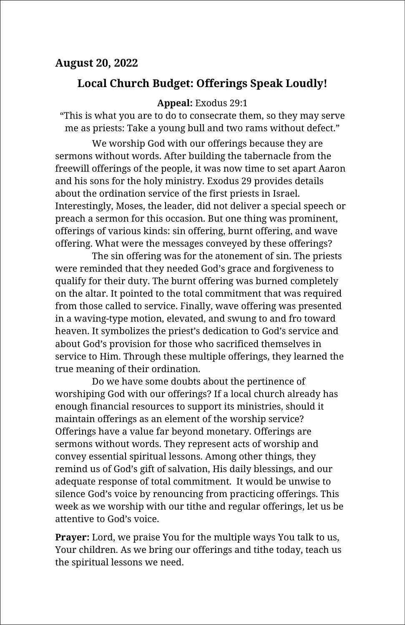### **August 20, 2022**

## **Local Church Budget: Offerings Speak Loudly!**

#### **Appeal:** Exodus 29:1

"This is what you are to do to consecrate them, so they may serve me as priests: Take a young bull and two rams without defect."

We worship God with our offerings because they are sermons without words. After building the tabernacle from the freewill offerings of the people, it was now time to set apart Aaron and his sons for the holy ministry. Exodus 29 provides details about the ordination service of the first priests in Israel. Interestingly, Moses, the leader, did not deliver a special speech or preach a sermon for this occasion. But one thing was prominent, offerings of various kinds: sin offering, burnt offering, and wave offering. What were the messages conveyed by these offerings?

The sin offering was for the atonement of sin. The priests were reminded that they needed God's grace and forgiveness to qualify for their duty. The burnt offering was burned completely on the altar. It pointed to the total commitment that was required from those called to service. Finally, wave offering was presented in a waving-type motion, elevated, and swung to and fro toward heaven. It symbolizes the priest's dedication to God's service and about God's provision for those who sacrificed themselves in service to Him. Through these multiple offerings, they learned the true meaning of their ordination.

Do we have some doubts about the pertinence of worshiping God with our offerings? If a local church already has enough financial resources to support its ministries, should it maintain offerings as an element of the worship service? Offerings have a value far beyond monetary. Offerings are sermons without words. They represent acts of worship and convey essential spiritual lessons. Among other things, they remind us of God's gift of salvation, His daily blessings, and our adequate response of total commitment. It would be unwise to silence God's voice by renouncing from practicing offerings. This week as we worship with our tithe and regular offerings, let us be attentive to God's voice.

**Prayer:** Lord, we praise You for the multiple ways You talk to us, Your children. As we bring our offerings and tithe today, teach us the spiritual lessons we need.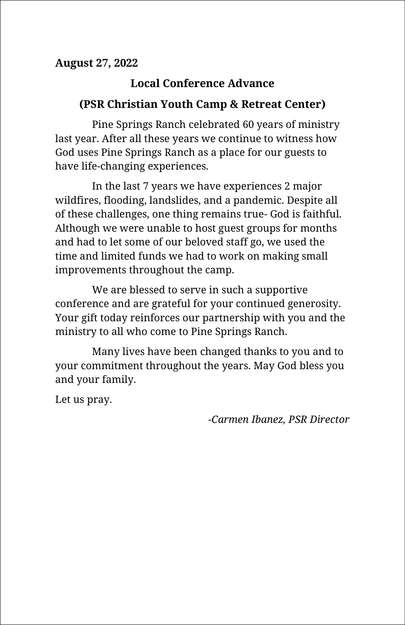## **August 27, 2022**

## **Local Conference Advance**

## **(PSR Christian Youth Camp & Retreat Center)**

Pine Springs Ranch celebrated 60 years of ministry last year. After all these years we continue to witness how God uses Pine Springs Ranch as a place for our guests to have life-changing experiences.

In the last 7 years we have experiences 2 major wildfires, flooding, landslides, and a pandemic. Despite all of these challenges, one thing remains true- God is faithful. Although we were unable to host guest groups for months and had to let some of our beloved staff go, we used the time and limited funds we had to work on making small improvements throughout the camp.

We are blessed to serve in such a supportive conference and are grateful for your continued generosity. Your gift today reinforces our partnership with you and the ministry to all who come to Pine Springs Ranch.

Many lives have been changed thanks to you and to your commitment throughout the years. May God bless you and your family.

Let us pray.

*-Carmen Ibanez, PSR Director*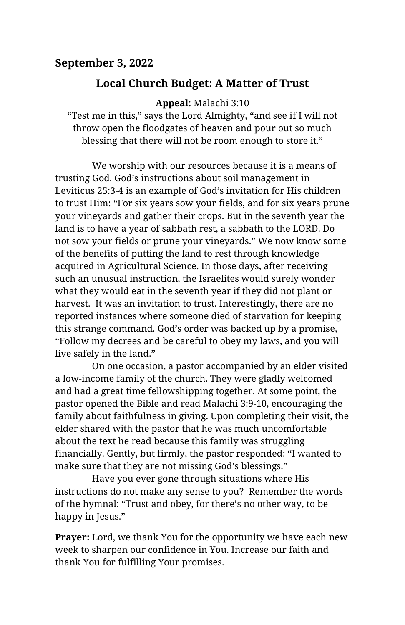## **September 3, 2022**

## **Local Church Budget: A Matter of Trust**

**Appeal:** Malachi 3:10

"Test me in this," says the Lord Almighty, "and see if I will not throw open the floodgates of heaven and pour out so much blessing that there will not be room enough to store it."

We worship with our resources because it is a means of trusting God. God's instructions about soil management in Leviticus 25:3-4 is an example of God's invitation for His children to trust Him: "For six years sow your fields, and for six years prune your vineyards and gather their crops. But in the seventh year the land is to have a year of sabbath rest, a sabbath to the LORD. Do not sow your fields or prune your vineyards." We now know some of the benefits of putting the land to rest through knowledge acquired in Agricultural Science. In those days, after receiving such an unusual instruction, the Israelites would surely wonder what they would eat in the seventh year if they did not plant or harvest. It was an invitation to trust. Interestingly, there are no reported instances where someone died of starvation for keeping this strange command. God's order was backed up by a promise, "Follow my decrees and be careful to obey my laws, and you will live safely in the land."

On one occasion, a pastor accompanied by an elder visited a low-income family of the church. They were gladly welcomed and had a great time fellowshipping together. At some point, the pastor opened the Bible and read Malachi 3:9-10, encouraging the family about faithfulness in giving. Upon completing their visit, the elder shared with the pastor that he was much uncomfortable about the text he read because this family was struggling financially. Gently, but firmly, the pastor responded: "I wanted to make sure that they are not missing God's blessings."

Have you ever gone through situations where His instructions do not make any sense to you? Remember the words of the hymnal: "Trust and obey, for there's no other way, to be happy in Jesus."

**Prayer:** Lord, we thank You for the opportunity we have each new week to sharpen our confidence in You. Increase our faith and thank You for fulfilling Your promises.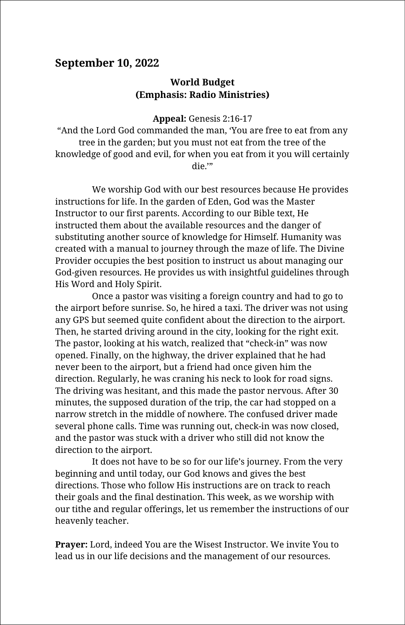#### **September 10, 2022**

#### **World Budget (Emphasis: Radio Ministries)**

**Appeal:** Genesis 2:16-17

"And the Lord God commanded the man, 'You are free to eat from any tree in the garden; but you must not eat from the tree of the knowledge of good and evil, for when you eat from it you will certainly die.'"

We worship God with our best resources because He provides instructions for life. In the garden of Eden, God was the Master Instructor to our first parents. According to our Bible text, He instructed them about the available resources and the danger of substituting another source of knowledge for Himself. Humanity was created with a manual to journey through the maze of life. The Divine Provider occupies the best position to instruct us about managing our God-given resources. He provides us with insightful guidelines through His Word and Holy Spirit.

Once a pastor was visiting a foreign country and had to go to the airport before sunrise. So, he hired a taxi. The driver was not using any GPS but seemed quite confident about the direction to the airport. Then, he started driving around in the city, looking for the right exit. The pastor, looking at his watch, realized that "check-in" was now opened. Finally, on the highway, the driver explained that he had never been to the airport, but a friend had once given him the direction. Regularly, he was craning his neck to look for road signs. The driving was hesitant, and this made the pastor nervous. After 30 minutes, the supposed duration of the trip, the car had stopped on a narrow stretch in the middle of nowhere. The confused driver made several phone calls. Time was running out, check-in was now closed, and the pastor was stuck with a driver who still did not know the direction to the airport.

It does not have to be so for our life's journey. From the very beginning and until today, our God knows and gives the best directions. Those who follow His instructions are on track to reach their goals and the final destination. This week, as we worship with our tithe and regular offerings, let us remember the instructions of our heavenly teacher.

**Prayer:** Lord, indeed You are the Wisest Instructor. We invite You to lead us in our life decisions and the management of our resources.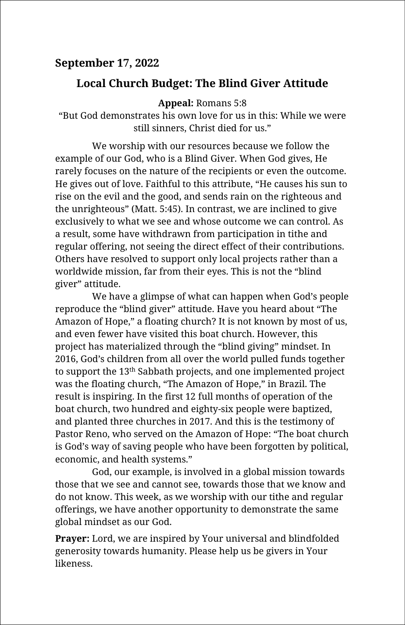## **September 17, 2022**

## **Local Church Budget: The Blind Giver Attitude**

**Appeal:** Romans 5:8

"But God demonstrates his own love for us in this: While we were still sinners, Christ died for us."

We worship with our resources because we follow the example of our God, who is a Blind Giver. When God gives, He rarely focuses on the nature of the recipients or even the outcome. He gives out of love. Faithful to this attribute, "He causes his sun to rise on the evil and the good, and sends rain on the righteous and the unrighteous" (Matt. 5:45). In contrast, we are inclined to give exclusively to what we see and whose outcome we can control. As a result, some have withdrawn from participation in tithe and regular offering, not seeing the direct effect of their contributions. Others have resolved to support only local projects rather than a worldwide mission, far from their eyes. This is not the "blind giver" attitude.

We have a glimpse of what can happen when God's people reproduce the "blind giver" attitude. Have you heard about "The Amazon of Hope," a floating church? It is not known by most of us, and even fewer have visited this boat church. However, this project has materialized through the "blind giving" mindset. In 2016, God's children from all over the world pulled funds together to support the 13th Sabbath projects, and one implemented project was the floating church, "The Amazon of Hope," in Brazil. The result is inspiring. In the first 12 full months of operation of the boat church, two hundred and eighty-six people were baptized, and planted three churches in 2017. And this is the testimony of Pastor Reno, who served on the Amazon of Hope: "The boat church is God's way of saving people who have been forgotten by political, economic, and health systems."

God, our example, is involved in a global mission towards those that we see and cannot see, towards those that we know and do not know. This week, as we worship with our tithe and regular offerings, we have another opportunity to demonstrate the same global mindset as our God.

**Prayer:** Lord, we are inspired by Your universal and blindfolded generosity towards humanity. Please help us be givers in Your likeness.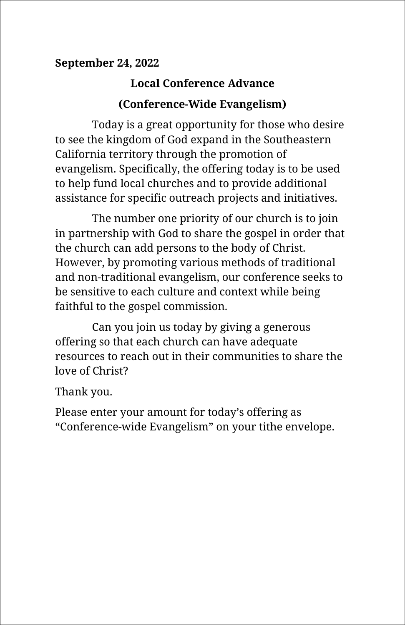## **September 24, 2022**

# **Local Conference Advance (Conference-Wide Evangelism)**

Today is a great opportunity for those who desire to see the kingdom of God expand in the Southeastern California territory through the promotion of evangelism. Specifically, the offering today is to be used to help fund local churches and to provide additional assistance for specific outreach projects and initiatives.

The number one priority of our church is to join in partnership with God to share the gospel in order that the church can add persons to the body of Christ. However, by promoting various methods of traditional and non-traditional evangelism, our conference seeks to be sensitive to each culture and context while being faithful to the gospel commission.

Can you join us today by giving a generous offering so that each church can have adequate resources to reach out in their communities to share the love of Christ?

Thank you.

Please enter your amount for today's offering as "Conference-wide Evangelism" on your tithe envelope.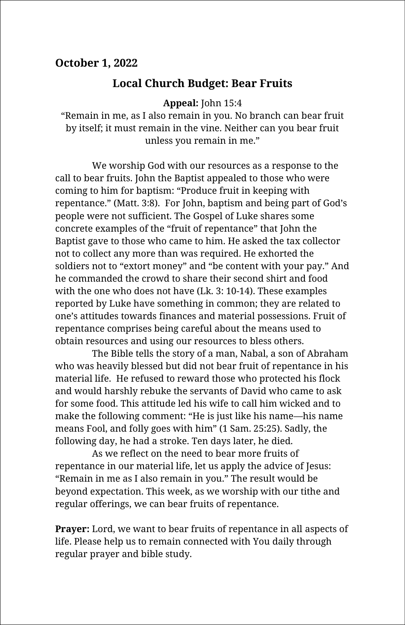#### **October 1, 2022**

## **Local Church Budget: Bear Fruits**

**Appeal:** John 15:4

"Remain in me, as I also remain in you. No branch can bear fruit by itself; it must remain in the vine. Neither can you bear fruit unless you remain in me."

We worship God with our resources as a response to the call to bear fruits. John the Baptist appealed to those who were coming to him for baptism: "Produce fruit in keeping with repentance." (Matt. 3:8). For John, baptism and being part of God's people were not sufficient. The Gospel of Luke shares some concrete examples of the "fruit of repentance" that John the Baptist gave to those who came to him. He asked the tax collector not to collect any more than was required. He exhorted the soldiers not to "extort money" and "be content with your pay." And he commanded the crowd to share their second shirt and food with the one who does not have (Lk. 3: 10-14). These examples reported by Luke have something in common; they are related to one's attitudes towards finances and material possessions. Fruit of repentance comprises being careful about the means used to obtain resources and using our resources to bless others.

The Bible tells the story of a man, Nabal, a son of Abraham who was heavily blessed but did not bear fruit of repentance in his material life. He refused to reward those who protected his flock and would harshly rebuke the servants of David who came to ask for some food. This attitude led his wife to call him wicked and to make the following comment: "He is just like his name—his name means Fool, and folly goes with him" (1 Sam. 25:25). Sadly, the following day, he had a stroke. Ten days later, he died.

As we reflect on the need to bear more fruits of repentance in our material life, let us apply the advice of Jesus: "Remain in me as I also remain in you." The result would be beyond expectation. This week, as we worship with our tithe and regular offerings, we can bear fruits of repentance.

**Prayer:** Lord, we want to bear fruits of repentance in all aspects of life. Please help us to remain connected with You daily through regular prayer and bible study.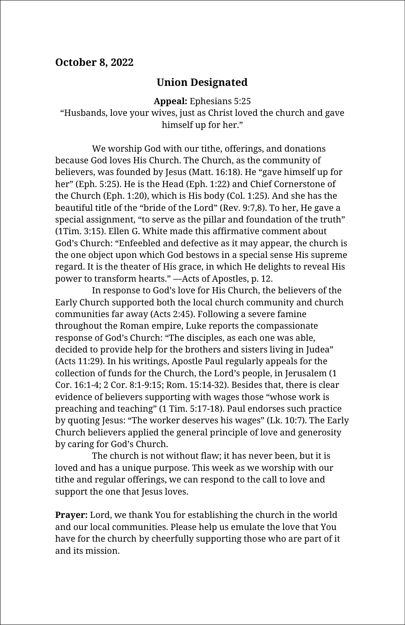#### **October 8, 2022**

#### **Union Designated**

**Appeal:** Ephesians 5:25

"Husbands, love your wives, just as Christ loved the church and gave himself up for her."

We worship God with our tithe, offerings, and donations because God loves His Church. The Church, as the community of believers, was founded by Jesus (Matt. 16:18). He "gave himself up for her" (Eph. 5:25). He is the Head (Eph. 1:22) and Chief Cornerstone of the Church (Eph. 1:20), which is His body (Col. 1:25). And she has the beautiful title of the "bride of the Lord" (Rev. 9:7,8). To her, He gave a special assignment, "to serve as the pillar and foundation of the truth" (1Tim. 3:15). Ellen G. White made this affirmative comment about God's Church: "Enfeebled and defective as it may appear, the church is the one object upon which God bestows in a special sense His supreme regard. It is the theater of His grace, in which He delights to reveal His power to transform hearts." —Acts of Apostles, p. 12.

In response to God's love for His Church, the believers of the Early Church supported both the local church community and church communities far away (Acts 2:45). Following a severe famine throughout the Roman empire, Luke reports the compassionate response of God's Church: "The disciples, as each one was able, decided to provide help for the brothers and sisters living in Judea" (Acts 11:29). In his writings, Apostle Paul regularly appeals for the collection of funds for the Church, the Lord's people, in Jerusalem (1 Cor. 16:1-4; 2 Cor. 8:1-9:15; Rom. 15:14-32). Besides that, there is clear evidence of believers supporting with wages those "whose work is preaching and teaching" (1 Tim. 5:17-18). Paul endorses such practice by quoting Jesus: "The worker deserves his wages" (Lk. 10:7). The Early Church believers applied the general principle of love and generosity by caring for God's Church.

The church is not without flaw; it has never been, but it is loved and has a unique purpose. This week as we worship with our tithe and regular offerings, we can respond to the call to love and support the one that Jesus loves.

**Prayer:** Lord, we thank You for establishing the church in the world and our local communities. Please help us emulate the love that You have for the church by cheerfully supporting those who are part of it and its mission.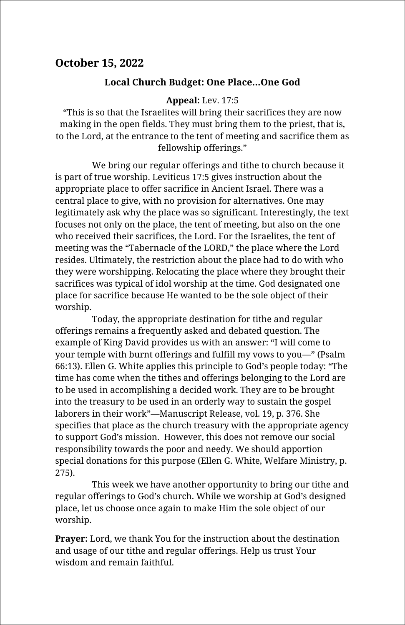## **October 15, 2022**

#### **Local Church Budget: One Place…One God**

#### **Appeal:** Lev. 17:5

"This is so that the Israelites will bring their sacrifices they are now making in the open fields. They must bring them to the priest, that is, to the Lord, at the entrance to the tent of meeting and sacrifice them as fellowship offerings."

We bring our regular offerings and tithe to church because it is part of true worship. Leviticus 17:5 gives instruction about the appropriate place to offer sacrifice in Ancient Israel. There was a central place to give, with no provision for alternatives. One may legitimately ask why the place was so significant. Interestingly, the text focuses not only on the place, the tent of meeting, but also on the one who received their sacrifices, the Lord. For the Israelites, the tent of meeting was the "Tabernacle of the LORD," the place where the Lord resides. Ultimately, the restriction about the place had to do with who they were worshipping. Relocating the place where they brought their sacrifices was typical of idol worship at the time. God designated one place for sacrifice because He wanted to be the sole object of their worship.

Today, the appropriate destination for tithe and regular offerings remains a frequently asked and debated question. The example of King David provides us with an answer: "I will come to your temple with burnt offerings and fulfill my vows to you—" (Psalm 66:13). Ellen G. White applies this principle to God's people today: "The time has come when the tithes and offerings belonging to the Lord are to be used in accomplishing a decided work. They are to be brought into the treasury to be used in an orderly way to sustain the gospel laborers in their work"—Manuscript Release, vol. 19, p. 376. She specifies that place as the church treasury with the appropriate agency to support God's mission. However, this does not remove our social responsibility towards the poor and needy. We should apportion special donations for this purpose (Ellen G. White, Welfare Ministry, p. 275).

This week we have another opportunity to bring our tithe and regular offerings to God's church. While we worship at God's designed place, let us choose once again to make Him the sole object of our worship.

**Prayer:** Lord, we thank You for the instruction about the destination and usage of our tithe and regular offerings. Help us trust Your wisdom and remain faithful.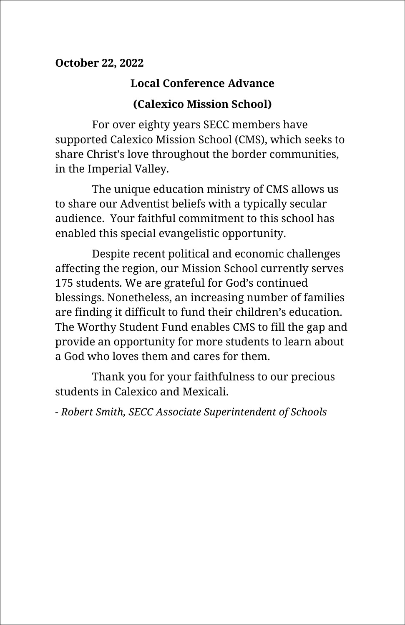## **October 22, 2022**

## **Local Conference Advance**

## **(Calexico Mission School)**

For over eighty years SECC members have supported Calexico Mission School (CMS), which seeks to share Christ's love throughout the border communities, in the Imperial Valley.

The unique education ministry of CMS allows us to share our Adventist beliefs with a typically secular audience. Your faithful commitment to this school has enabled this special evangelistic opportunity.

Despite recent political and economic challenges affecting the region, our Mission School currently serves 175 students. We are grateful for God's continued blessings. Nonetheless, an increasing number of families are finding it difficult to fund their children's education. The Worthy Student Fund enables CMS to fill the gap and provide an opportunity for more students to learn about a God who loves them and cares for them.

Thank you for your faithfulness to our precious students in Calexico and Mexicali.

*- Robert Smith, SECC Associate Superintendent of Schools*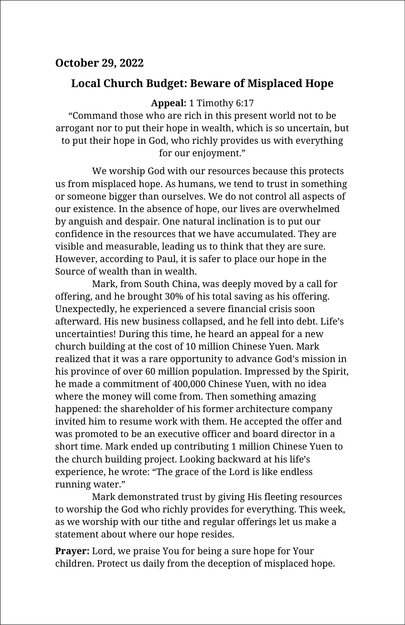## **October 29, 2022**

#### **Local Church Budget: Beware of Misplaced Hope**

**Appeal:** 1 Timothy 6:17

"Command those who are rich in this present world not to be arrogant nor to put their hope in wealth, which is so uncertain, but to put their hope in God, who richly provides us with everything for our enjoyment."

We worship God with our resources because this protects us from misplaced hope. As humans, we tend to trust in something or someone bigger than ourselves. We do not control all aspects of our existence. In the absence of hope, our lives are overwhelmed by anguish and despair. One natural inclination is to put our confidence in the resources that we have accumulated. They are visible and measurable, leading us to think that they are sure. However, according to Paul, it is safer to place our hope in the Source of wealth than in wealth.

Mark, from South China, was deeply moved by a call for offering, and he brought 30% of his total saving as his offering. Unexpectedly, he experienced a severe financial crisis soon afterward. His new business collapsed, and he fell into debt. Life's uncertainties! During this time, he heard an appeal for a new church building at the cost of 10 million Chinese Yuen. Mark realized that it was a rare opportunity to advance God's mission in his province of over 60 million population. Impressed by the Spirit, he made a commitment of 400,000 Chinese Yuen, with no idea where the money will come from. Then something amazing happened: the shareholder of his former architecture company invited him to resume work with them. He accepted the offer and was promoted to be an executive officer and board director in a short time. Mark ended up contributing 1 million Chinese Yuen to the church building project. Looking backward at his life's experience, he wrote: "The grace of the Lord is like endless running water."

Mark demonstrated trust by giving His fleeting resources to worship the God who richly provides for everything. This week, as we worship with our tithe and regular offerings let us make a statement about where our hope resides.

**Prayer:** Lord, we praise You for being a sure hope for Your children. Protect us daily from the deception of misplaced hope.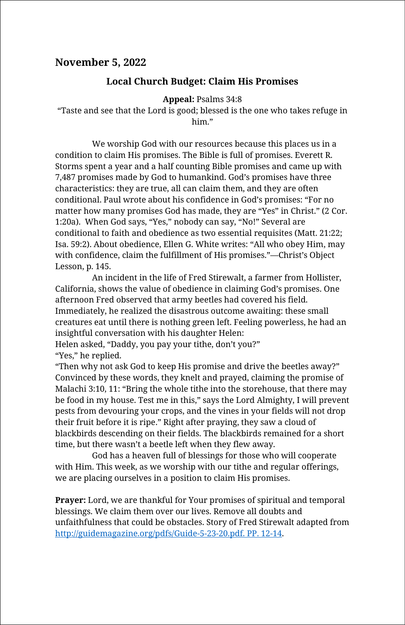#### **November 5, 2022**

#### **Local Church Budget: Claim His Promises**

#### **Appeal:** Psalms 34:8

"Taste and see that the Lord is good; blessed is the one who takes refuge in him"

We worship God with our resources because this places us in a condition to claim His promises. The Bible is full of promises. Everett R. Storms spent a year and a half counting Bible promises and came up with 7,487 promises made by God to humankind. God's promises have three characteristics: they are true, all can claim them, and they are often conditional. Paul wrote about his confidence in God's promises: "For no matter how many promises God has made, they are "Yes" in Christ." (2 Cor. 1:20a). When God says, "Yes," nobody can say, "No!" Several are conditional to faith and obedience as two essential requisites (Matt. 21:22; Isa. 59:2). About obedience, Ellen G. White writes: "All who obey Him, may with confidence, claim the fulfillment of His promises."—Christ's Object Lesson, p. 145.

An incident in the life of Fred Stirewalt, a farmer from Hollister, California, shows the value of obedience in claiming God's promises. One afternoon Fred observed that army beetles had covered his field. Immediately, he realized the disastrous outcome awaiting: these small creatures eat until there is nothing green left. Feeling powerless, he had an insightful conversation with his daughter Helen:

Helen asked, "Daddy, you pay your tithe, don't you?" "Yes," he replied.

"Then why not ask God to keep His promise and drive the beetles away?" Convinced by these words, they knelt and prayed, claiming the promise of Malachi 3:10, 11: "Bring the whole tithe into the storehouse, that there may be food in my house. Test me in this," says the Lord Almighty, I will prevent pests from devouring your crops, and the vines in your fields will not drop their fruit before it is ripe." Right after praying, they saw a cloud of blackbirds descending on their fields. The blackbirds remained for a short time, but there wasn't a beetle left when they flew away.

God has a heaven full of blessings for those who will cooperate with Him. This week, as we worship with our tithe and regular offerings, we are placing ourselves in a position to claim His promises.

**Prayer:** Lord, we are thankful for Your promises of spiritual and temporal blessings. We claim them over our lives. Remove all doubts and unfaithfulness that could be obstacles. Story of Fred Stirewalt adapted from [http://guidemagazine.org/pdfs/Guide-5-23-20.pdf. PP. 12-14.](http://guidemagazine.org/pdfs/Guide-5-23-20.pdf.%20PP.%2012-14)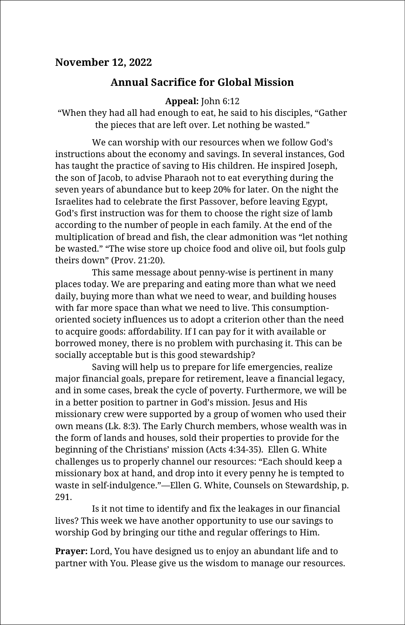#### **November 12, 2022**

## **Annual Sacrifice for Global Mission**

#### **Appeal:** John 6:12

"When they had all had enough to eat, he said to his disciples, "Gather the pieces that are left over. Let nothing be wasted."

We can worship with our resources when we follow God's instructions about the economy and savings. In several instances, God has taught the practice of saving to His children. He inspired Joseph, the son of Jacob, to advise Pharaoh not to eat everything during the seven years of abundance but to keep 20% for later. On the night the Israelites had to celebrate the first Passover, before leaving Egypt, God's first instruction was for them to choose the right size of lamb according to the number of people in each family. At the end of the multiplication of bread and fish, the clear admonition was "let nothing be wasted." "The wise store up choice food and olive oil, but fools gulp theirs down" (Prov. 21:20).

This same message about penny-wise is pertinent in many places today. We are preparing and eating more than what we need daily, buying more than what we need to wear, and building houses with far more space than what we need to live. This consumptionoriented society influences us to adopt a criterion other than the need to acquire goods: affordability. If I can pay for it with available or borrowed money, there is no problem with purchasing it. This can be socially acceptable but is this good stewardship?

Saving will help us to prepare for life emergencies, realize major financial goals, prepare for retirement, leave a financial legacy, and in some cases, break the cycle of poverty. Furthermore, we will be in a better position to partner in God's mission. Jesus and His missionary crew were supported by a group of women who used their own means (Lk. 8:3). The Early Church members, whose wealth was in the form of lands and houses, sold their properties to provide for the beginning of the Christians' mission (Acts 4:34-35). Ellen G. White challenges us to properly channel our resources: "Each should keep a missionary box at hand, and drop into it every penny he is tempted to waste in self-indulgence."—Ellen G. White, Counsels on Stewardship, p. 291.

Is it not time to identify and fix the leakages in our financial lives? This week we have another opportunity to use our savings to worship God by bringing our tithe and regular offerings to Him.

**Prayer:** Lord, You have designed us to enjoy an abundant life and to partner with You. Please give us the wisdom to manage our resources.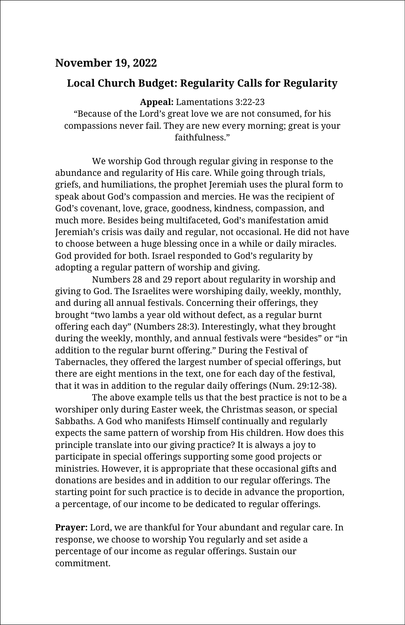#### **November 19, 2022**

#### **Local Church Budget: Regularity Calls for Regularity**

**Appeal:** Lamentations 3:22-23

"Because of the Lord's great love we are not consumed, for his compassions never fail. They are new every morning; great is your faithfulness."

We worship God through regular giving in response to the abundance and regularity of His care. While going through trials, griefs, and humiliations, the prophet Jeremiah uses the plural form to speak about God's compassion and mercies. He was the recipient of God's covenant, love, grace, goodness, kindness, compassion, and much more. Besides being multifaceted, God's manifestation amid Jeremiah's crisis was daily and regular, not occasional. He did not have to choose between a huge blessing once in a while or daily miracles. God provided for both. Israel responded to God's regularity by adopting a regular pattern of worship and giving.

Numbers 28 and 29 report about regularity in worship and giving to God. The Israelites were worshiping daily, weekly, monthly, and during all annual festivals. Concerning their offerings, they brought "two lambs a year old without defect, as a regular burnt offering each day" (Numbers 28:3). Interestingly, what they brought during the weekly, monthly, and annual festivals were "besides" or "in addition to the regular burnt offering." During the Festival of Tabernacles, they offered the largest number of special offerings, but there are eight mentions in the text, one for each day of the festival, that it was in addition to the regular daily offerings (Num. 29:12-38).

The above example tells us that the best practice is not to be a worshiper only during Easter week, the Christmas season, or special Sabbaths. A God who manifests Himself continually and regularly expects the same pattern of worship from His children. How does this principle translate into our giving practice? It is always a joy to participate in special offerings supporting some good projects or ministries. However, it is appropriate that these occasional gifts and donations are besides and in addition to our regular offerings. The starting point for such practice is to decide in advance the proportion, a percentage, of our income to be dedicated to regular offerings.

**Prayer:** Lord, we are thankful for Your abundant and regular care. In response, we choose to worship You regularly and set aside a percentage of our income as regular offerings. Sustain our commitment.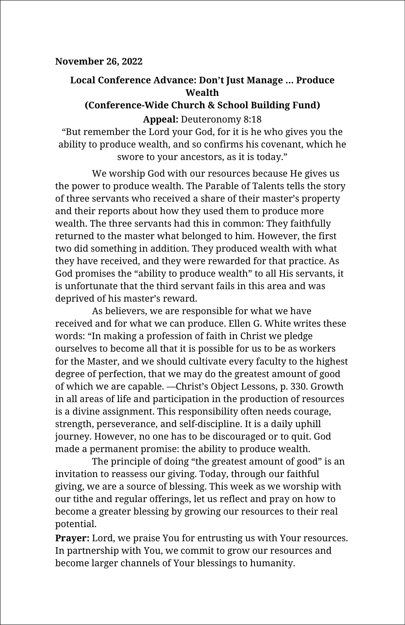#### **November 26, 2022**

#### **Local Conference Advance: Don't Just Manage … Produce Wealth**

#### **(Conference-Wide Church & School Building Fund) Appeal:** Deuteronomy 8:18

"But remember the Lord your God, for it is he who gives you the ability to produce wealth, and so confirms his covenant, which he swore to your ancestors, as it is today."

We worship God with our resources because He gives us the power to produce wealth. The Parable of Talents tells the story of three servants who received a share of their master's property and their reports about how they used them to produce more wealth. The three servants had this in common: They faithfully returned to the master what belonged to him. However, the first two did something in addition. They produced wealth with what they have received, and they were rewarded for that practice. As God promises the "ability to produce wealth" to all His servants, it is unfortunate that the third servant fails in this area and was deprived of his master's reward.

As believers, we are responsible for what we have received and for what we can produce. Ellen G. White writes these words: "In making a profession of faith in Christ we pledge ourselves to become all that it is possible for us to be as workers for the Master, and we should cultivate every faculty to the highest degree of perfection, that we may do the greatest amount of good of which we are capable. —Christ's Object Lessons, p. 330. Growth in all areas of life and participation in the production of resources is a divine assignment. This responsibility often needs courage, strength, perseverance, and self-discipline. It is a daily uphill journey. However, no one has to be discouraged or to quit. God made a permanent promise: the ability to produce wealth.

The principle of doing "the greatest amount of good" is an invitation to reassess our giving. Today, through our faithful giving, we are a source of blessing. This week as we worship with our tithe and regular offerings, let us reflect and pray on how to become a greater blessing by growing our resources to their real potential.

**Prayer:** Lord, we praise You for entrusting us with Your resources. In partnership with You, we commit to grow our resources and become larger channels of Your blessings to humanity.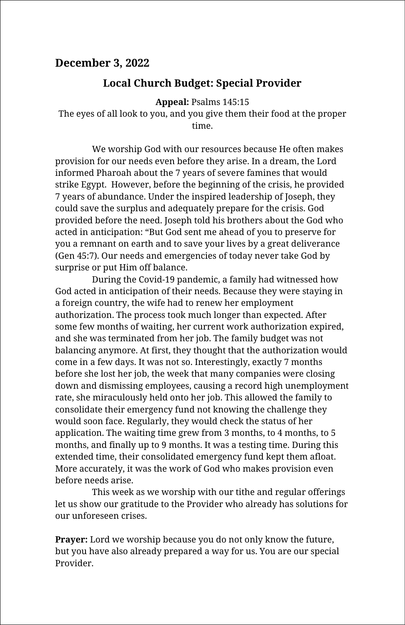#### **December 3, 2022**

#### **Local Church Budget: Special Provider**

**Appeal:** Psalms 145:15

The eyes of all look to you, and you give them their food at the proper time.

We worship God with our resources because He often makes provision for our needs even before they arise. In a dream, the Lord informed Pharoah about the 7 years of severe famines that would strike Egypt. However, before the beginning of the crisis, he provided 7 years of abundance. Under the inspired leadership of Joseph, they could save the surplus and adequately prepare for the crisis. God provided before the need. Joseph told his brothers about the God who acted in anticipation: "But God sent me ahead of you to preserve for you a remnant on earth and to save your lives by a great deliverance (Gen 45:7). Our needs and emergencies of today never take God by surprise or put Him off balance.

During the Covid-19 pandemic, a family had witnessed how God acted in anticipation of their needs. Because they were staying in a foreign country, the wife had to renew her employment authorization. The process took much longer than expected. After some few months of waiting, her current work authorization expired, and she was terminated from her job. The family budget was not balancing anymore. At first, they thought that the authorization would come in a few days. It was not so. Interestingly, exactly 7 months before she lost her job, the week that many companies were closing down and dismissing employees, causing a record high unemployment rate, she miraculously held onto her job. This allowed the family to consolidate their emergency fund not knowing the challenge they would soon face. Regularly, they would check the status of her application. The waiting time grew from 3 months, to 4 months, to 5 months, and finally up to 9 months. It was a testing time. During this extended time, their consolidated emergency fund kept them afloat. More accurately, it was the work of God who makes provision even before needs arise.

This week as we worship with our tithe and regular offerings let us show our gratitude to the Provider who already has solutions for our unforeseen crises.

**Prayer:** Lord we worship because you do not only know the future, but you have also already prepared a way for us. You are our special Provider.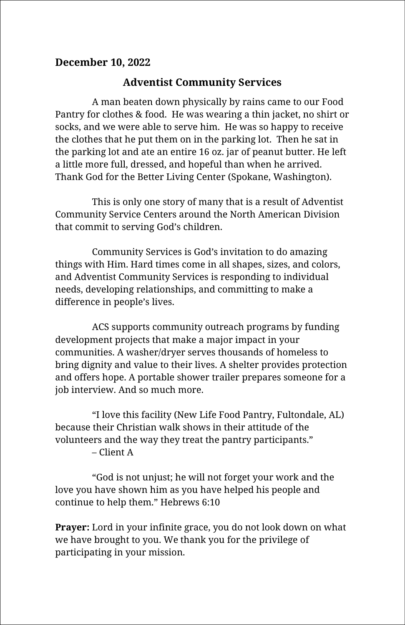## **December 10, 2022**

## **Adventist Community Services**

A man beaten down physically by rains came to our Food Pantry for clothes & food. He was wearing a thin jacket, no shirt or socks, and we were able to serve him. He was so happy to receive the clothes that he put them on in the parking lot. Then he sat in the parking lot and ate an entire 16 oz. jar of peanut butter. He left a little more full, dressed, and hopeful than when he arrived. Thank God for the Better Living Center (Spokane, Washington).

This is only one story of many that is a result of Adventist Community Service Centers around the North American Division that commit to serving God's children.

Community Services is God's invitation to do amazing things with Him. Hard times come in all shapes, sizes, and colors, and Adventist Community Services is responding to individual needs, developing relationships, and committing to make a difference in people's lives.

ACS supports community outreach programs by funding development projects that make a major impact in your communities. A washer/dryer serves thousands of homeless to bring dignity and value to their lives. A shelter provides protection and offers hope. A portable shower trailer prepares someone for a job interview. And so much more.

"I love this facility (New Life Food Pantry, Fultondale, AL) because their Christian walk shows in their attitude of the volunteers and the way they treat the pantry participants." – Client A

"God is not unjust; he will not forget your work and the love you have shown him as you have helped his people and continue to help them." Hebrews 6:10

**Prayer:** Lord in your infinite grace, you do not look down on what we have brought to you. We thank you for the privilege of participating in your mission.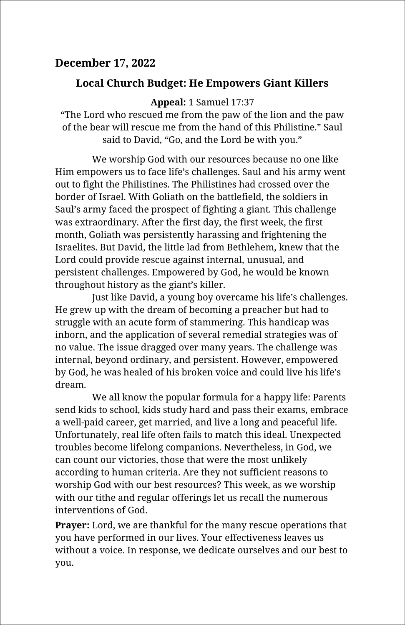## **December 17, 2022**

## **Local Church Budget: He Empowers Giant Killers**

**Appeal:** 1 Samuel 17:37

"The Lord who rescued me from the paw of the lion and the paw of the bear will rescue me from the hand of this Philistine." Saul said to David, "Go, and the Lord be with you."

We worship God with our resources because no one like Him empowers us to face life's challenges. Saul and his army went out to fight the Philistines. The Philistines had crossed over the border of Israel. With Goliath on the battlefield, the soldiers in Saul's army faced the prospect of fighting a giant. This challenge was extraordinary. After the first day, the first week, the first month, Goliath was persistently harassing and frightening the Israelites. But David, the little lad from Bethlehem, knew that the Lord could provide rescue against internal, unusual, and persistent challenges. Empowered by God, he would be known throughout history as the giant's killer.

Just like David, a young boy overcame his life's challenges. He grew up with the dream of becoming a preacher but had to struggle with an acute form of stammering. This handicap was inborn, and the application of several remedial strategies was of no value. The issue dragged over many years. The challenge was internal, beyond ordinary, and persistent. However, empowered by God, he was healed of his broken voice and could live his life's dream.

We all know the popular formula for a happy life: Parents send kids to school, kids study hard and pass their exams, embrace a well-paid career, get married, and live a long and peaceful life. Unfortunately, real life often fails to match this ideal. Unexpected troubles become lifelong companions. Nevertheless, in God, we can count our victories, those that were the most unlikely according to human criteria. Are they not sufficient reasons to worship God with our best resources? This week, as we worship with our tithe and regular offerings let us recall the numerous interventions of God.

**Prayer:** Lord, we are thankful for the many rescue operations that you have performed in our lives. Your effectiveness leaves us without a voice. In response, we dedicate ourselves and our best to you.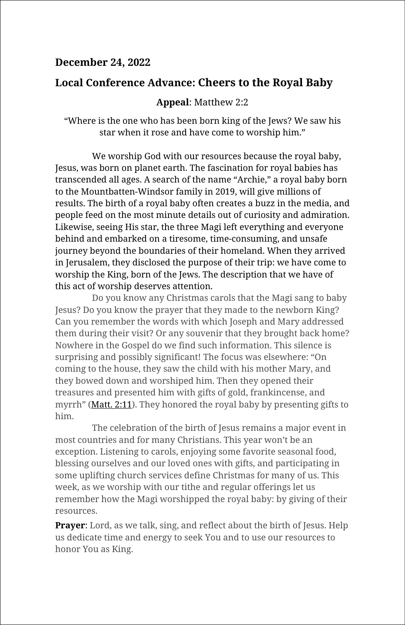#### **December 24, 2022**

#### **Local Conference Advance: Cheers to the Royal Baby**

#### **Appeal**: Matthew 2:2

"Where is the one who has been born king of the Jews? We saw his star when it rose and have come to worship him."

We worship God with our resources because the royal baby, Jesus, was born on planet earth. The fascination for royal babies has transcended all ages. A search of the name "Archie," a royal baby born to the Mountbatten-Windsor family in 2019, will give millions of results. The birth of a royal baby often creates a buzz in the media, and people feed on the most minute details out of curiosity and admiration. Likewise, seeing His star, the three Magi left everything and everyone behind and embarked on a tiresome, time-consuming, and unsafe journey beyond the boundaries of their homeland. When they arrived in Jerusalem, they disclosed the purpose of their trip: we have come to worship the King, born of the Jews. The description that we have of this act of worship deserves attention.

Do you know any Christmas carols that the Magi sang to baby Jesus? Do you know the prayer that they made to the newborn King? Can you remember the words with which Joseph and Mary addressed them during their visit? Or any souvenir that they brought back home? Nowhere in the Gospel do we find such information. This silence is surprising and possibly significant! The focus was elsewhere: "On coming to the house, they saw the child with his mother Mary, and they bowed down and worshiped him. Then they opened their treasures and presented him with gifts of gold, frankincense, and myrrh" ([Matt.](https://biblia.com/bible/esv/Matt.%202.%2011) 2:11). They honored the royal baby by presenting gifts to him.

The celebration of the birth of Jesus remains a major event in most countries and for many Christians. This year won't be an exception. Listening to carols, enjoying some favorite seasonal food, blessing ourselves and our loved ones with gifts, and participating in some uplifting church services define Christmas for many of us. This week, as we worship with our tithe and regular offerings let us remember how the Magi worshipped the royal baby: by giving of their resources.

**Prayer:** Lord, as we talk, sing, and reflect about the birth of Jesus. Help us dedicate time and energy to seek You and to use our resources to honor You as King.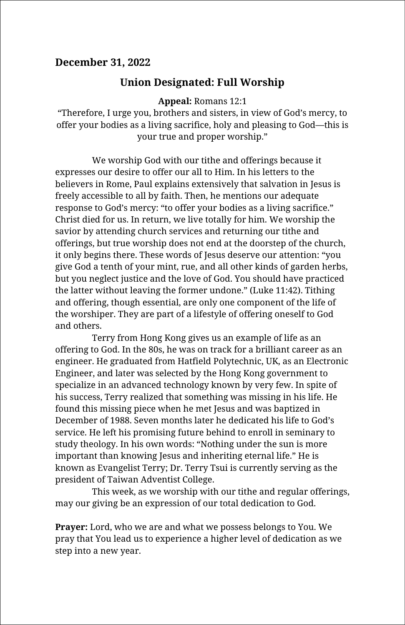#### **December 31, 2022**

#### **Union Designated: Full Worship**

**Appeal:** Romans 12:1

"Therefore, I urge you, brothers and sisters, in view of God's mercy, to offer your bodies as a living sacrifice, holy and pleasing to God—this is your true and proper worship."

We worship God with our tithe and offerings because it expresses our desire to offer our all to Him. In his letters to the believers in Rome, Paul explains extensively that salvation in Jesus is freely accessible to all by faith. Then, he mentions our adequate response to God's mercy: "to offer your bodies as a living sacrifice." Christ died for us. In return, we live totally for him. We worship the savior by attending church services and returning our tithe and offerings, but true worship does not end at the doorstep of the church, it only begins there. These words of Jesus deserve our attention: "you give God a tenth of your mint, rue, and all other kinds of garden herbs, but you neglect justice and the love of God. You should have practiced the latter without leaving the former undone." (Luke 11:42). Tithing and offering, though essential, are only one component of the life of the worshiper. They are part of a lifestyle of offering oneself to God and others.

Terry from Hong Kong gives us an example of life as an offering to God. In the 80s, he was on track for a brilliant career as an engineer. He graduated from Hatfield Polytechnic, UK, as an Electronic Engineer, and later was selected by the Hong Kong government to specialize in an advanced technology known by very few. In spite of his success, Terry realized that something was missing in his life. He found this missing piece when he met Jesus and was baptized in December of 1988. Seven months later he dedicated his life to God's service. He left his promising future behind to enroll in seminary to study theology. In his own words: "Nothing under the sun is more important than knowing Jesus and inheriting eternal life." He is known as Evangelist Terry; Dr. Terry Tsui is currently serving as the president of Taiwan Adventist College.

This week, as we worship with our tithe and regular offerings, may our giving be an expression of our total dedication to God.

**Prayer:** Lord, who we are and what we possess belongs to You. We pray that You lead us to experience a higher level of dedication as we step into a new year.